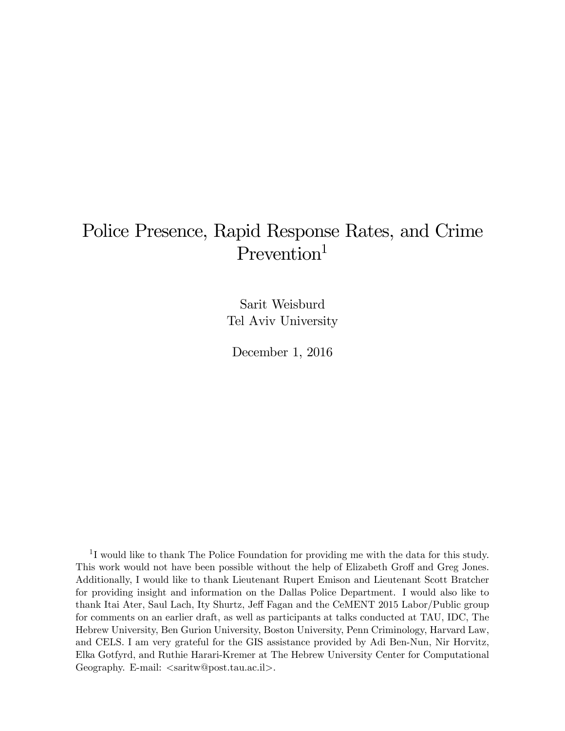# Police Presence, Rapid Response Rates, and Crime  $Prevention<sup>1</sup>$

Sarit Weisburd Tel Aviv University

December 1, 2016

<sup>1</sup>I would like to thank The Police Foundation for providing me with the data for this study. This work would not have been possible without the help of Elizabeth Groff and Greg Jones. Additionally, I would like to thank Lieutenant Rupert Emison and Lieutenant Scott Bratcher for providing insight and information on the Dallas Police Department. I would also like to thank Itai Ater, Saul Lach, Ity Shurtz, Jeff Fagan and the CeMENT 2015 Labor/Public group for comments on an earlier draft, as well as participants at talks conducted at TAU, IDC, The Hebrew University, Ben Gurion University, Boston University, Penn Criminology, Harvard Law, and CELS. I am very grateful for the GIS assistance provided by Adi Ben-Nun, Nir Horvitz, Elka Gotfyrd, and Ruthie Harari-Kremer at The Hebrew University Center for Computational Geography. E-mail: <saritw@post.tau.ac.il>.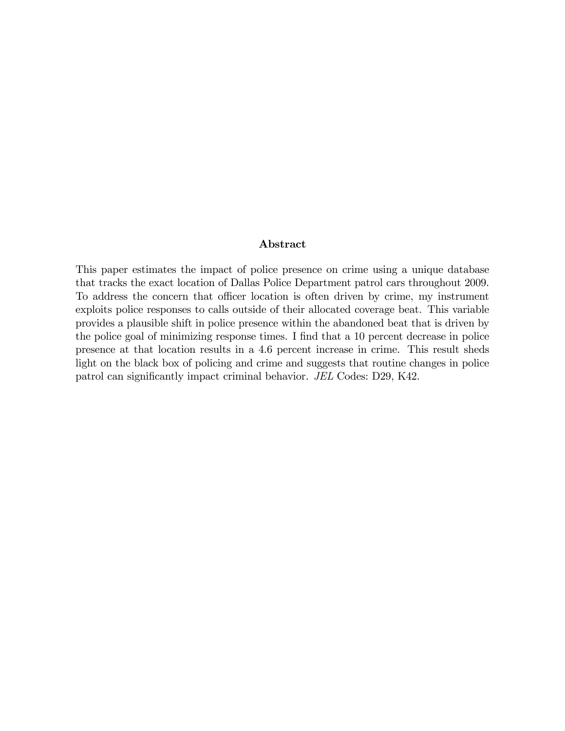#### Abstract

This paper estimates the impact of police presence on crime using a unique database that tracks the exact location of Dallas Police Department patrol cars throughout 2009. To address the concern that officer location is often driven by crime, my instrument exploits police responses to calls outside of their allocated coverage beat. This variable provides a plausible shift in police presence within the abandoned beat that is driven by the police goal of minimizing response times. I find that a 10 percent decrease in police presence at that location results in a 4.6 percent increase in crime. This result sheds light on the black box of policing and crime and suggests that routine changes in police patrol can significantly impact criminal behavior. JEL Codes: D29, K42.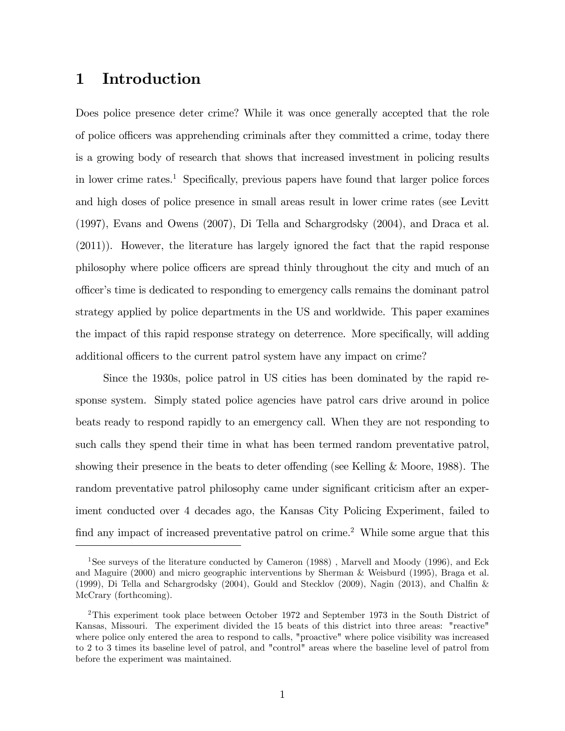### 1 Introduction

Does police presence deter crime? While it was once generally accepted that the role of police officers was apprehending criminals after they committed a crime, today there is a growing body of research that shows that increased investment in policing results in lower crime rates.<sup>1</sup> Specifically, previous papers have found that larger police forces and high doses of police presence in small areas result in lower crime rates (see Levitt (1997), Evans and Owens (2007), Di Tella and Schargrodsky (2004), and Draca et al. (2011)). However, the literature has largely ignored the fact that the rapid response philosophy where police officers are spread thinly throughout the city and much of an o¢ cerís time is dedicated to responding to emergency calls remains the dominant patrol strategy applied by police departments in the US and worldwide. This paper examines the impact of this rapid response strategy on deterrence. More specifically, will adding additional officers to the current patrol system have any impact on crime?

Since the 1930s, police patrol in US cities has been dominated by the rapid response system. Simply stated police agencies have patrol cars drive around in police beats ready to respond rapidly to an emergency call. When they are not responding to such calls they spend their time in what has been termed random preventative patrol, showing their presence in the beats to deter offending (see Kelling  $& \text{Moore}, 1988$ ). The random preventative patrol philosophy came under significant criticism after an experiment conducted over 4 decades ago, the Kansas City Policing Experiment, failed to find any impact of increased preventative patrol on crime.<sup>2</sup> While some argue that this

<sup>&</sup>lt;sup>1</sup>See surveys of the literature conducted by Cameron (1988), Marvell and Moody (1996), and Eck and Maguire (2000) and micro geographic interventions by Sherman & Weisburd (1995), Braga et al. (1999), Di Tella and Schargrodsky (2004), Gould and Stecklov (2009), Nagin (2013), and Chalfin  $\&$ McCrary (forthcoming).

<sup>2</sup>This experiment took place between October 1972 and September 1973 in the South District of Kansas, Missouri. The experiment divided the 15 beats of this district into three areas: "reactive" where police only entered the area to respond to calls, "proactive" where police visibility was increased to 2 to 3 times its baseline level of patrol, and "control" areas where the baseline level of patrol from before the experiment was maintained.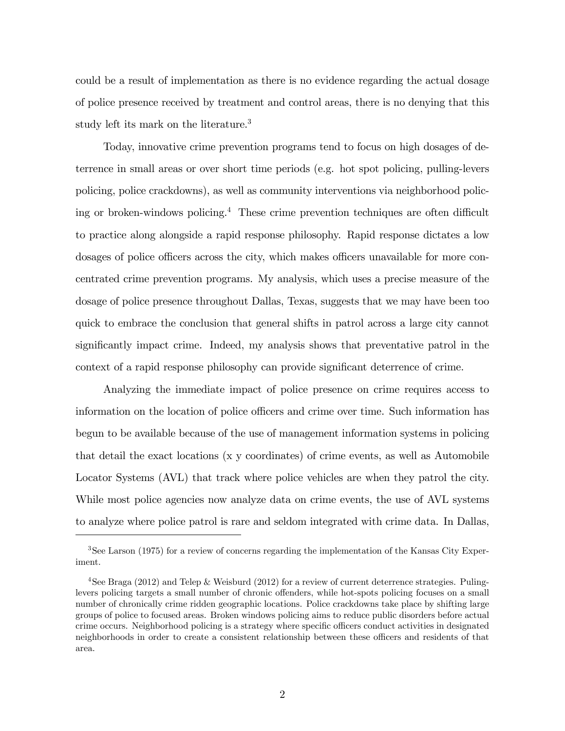could be a result of implementation as there is no evidence regarding the actual dosage of police presence received by treatment and control areas, there is no denying that this study left its mark on the literature.<sup>3</sup>

Today, innovative crime prevention programs tend to focus on high dosages of deterrence in small areas or over short time periods (e.g. hot spot policing, pulling-levers policing, police crackdowns), as well as community interventions via neighborhood policing or broken-windows policing.<sup>4</sup> These crime prevention techniques are often difficult to practice along alongside a rapid response philosophy. Rapid response dictates a low dosages of police officers across the city, which makes officers unavailable for more concentrated crime prevention programs. My analysis, which uses a precise measure of the dosage of police presence throughout Dallas, Texas, suggests that we may have been too quick to embrace the conclusion that general shifts in patrol across a large city cannot significantly impact crime. Indeed, my analysis shows that preventative patrol in the context of a rapid response philosophy can provide significant deterrence of crime.

Analyzing the immediate impact of police presence on crime requires access to information on the location of police officers and crime over time. Such information has begun to be available because of the use of management information systems in policing that detail the exact locations (x y coordinates) of crime events, as well as Automobile Locator Systems (AVL) that track where police vehicles are when they patrol the city. While most police agencies now analyze data on crime events, the use of AVL systems to analyze where police patrol is rare and seldom integrated with crime data. In Dallas,

<sup>&</sup>lt;sup>3</sup>See Larson (1975) for a review of concerns regarding the implementation of the Kansas City Experiment.

<sup>4</sup>See Braga (2012) and Telep & Weisburd (2012) for a review of current deterrence strategies. Pulinglevers policing targets a small number of chronic offenders, while hot-spots policing focuses on a small number of chronically crime ridden geographic locations. Police crackdowns take place by shifting large groups of police to focused areas. Broken windows policing aims to reduce public disorders before actual crime occurs. Neighborhood policing is a strategy where specific officers conduct activities in designated neighborhoods in order to create a consistent relationship between these officers and residents of that area.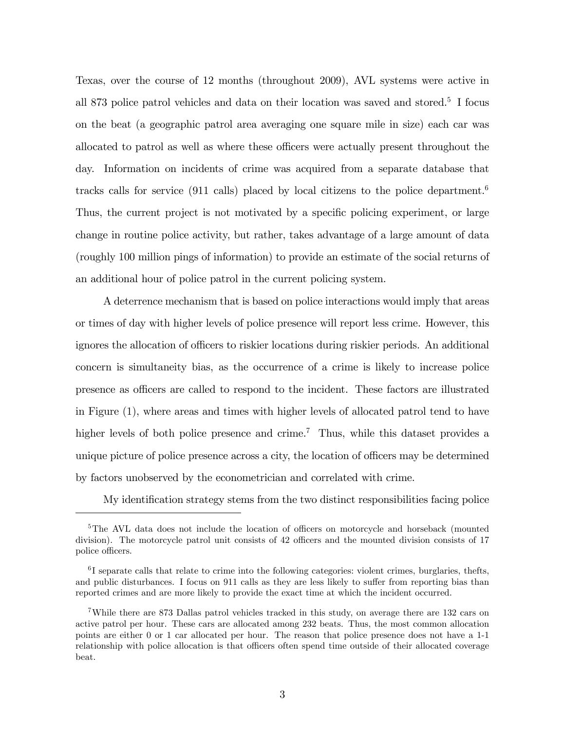Texas, over the course of 12 months (throughout 2009), AVL systems were active in all 873 police patrol vehicles and data on their location was saved and stored.<sup>5</sup> I focus on the beat (a geographic patrol area averaging one square mile in size) each car was allocated to patrol as well as where these officers were actually present throughout the day. Information on incidents of crime was acquired from a separate database that tracks calls for service (911 calls) placed by local citizens to the police department.<sup>6</sup> Thus, the current project is not motivated by a specific policing experiment, or large change in routine police activity, but rather, takes advantage of a large amount of data (roughly 100 million pings of information) to provide an estimate of the social returns of an additional hour of police patrol in the current policing system.

A deterrence mechanism that is based on police interactions would imply that areas or times of day with higher levels of police presence will report less crime. However, this ignores the allocation of officers to riskier locations during riskier periods. An additional concern is simultaneity bias, as the occurrence of a crime is likely to increase police presence as officers are called to respond to the incident. These factors are illustrated in Figure (1), where areas and times with higher levels of allocated patrol tend to have higher levels of both police presence and crime.<sup>7</sup> Thus, while this dataset provides a unique picture of police presence across a city, the location of officers may be determined by factors unobserved by the econometrician and correlated with crime.

My identification strategy stems from the two distinct responsibilities facing police

 ${}^{5}$ The AVL data does not include the location of officers on motorcycle and horseback (mounted division). The motorcycle patrol unit consists of 42 officers and the mounted division consists of 17 police officers.

<sup>&</sup>lt;sup>6</sup>I separate calls that relate to crime into the following categories: violent crimes, burglaries, thefts, and public disturbances. I focus on 911 calls as they are less likely to suffer from reporting bias than reported crimes and are more likely to provide the exact time at which the incident occurred.

<sup>7</sup>While there are 873 Dallas patrol vehicles tracked in this study, on average there are 132 cars on active patrol per hour. These cars are allocated among 232 beats. Thus, the most common allocation points are either 0 or 1 car allocated per hour. The reason that police presence does not have a 1-1 relationship with police allocation is that officers often spend time outside of their allocated coverage beat.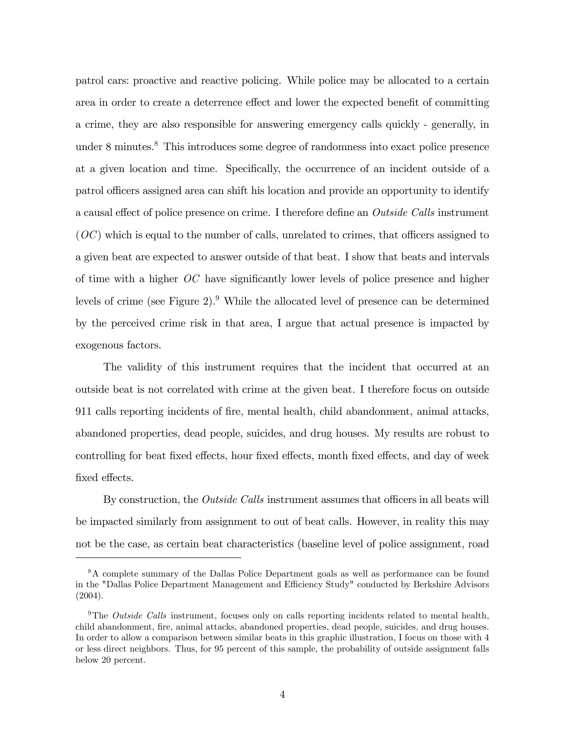patrol cars: proactive and reactive policing. While police may be allocated to a certain area in order to create a deterrence effect and lower the expected benefit of committing a crime, they are also responsible for answering emergency calls quickly - generally, in under 8 minutes.<sup>8</sup> This introduces some degree of randomness into exact police presence at a given location and time. Specifically, the occurrence of an incident outside of a patrol officers assigned area can shift his location and provide an opportunity to identify a causal effect of police presence on crime. I therefore define an *Outside Calls* instrument  $(OC)$  which is equal to the number of calls, unrelated to crimes, that officers assigned to a given beat are expected to answer outside of that beat. I show that beats and intervals of time with a higher  $OC$  have significantly lower levels of police presence and higher levels of crime (see Figure 2).<sup>9</sup> While the allocated level of presence can be determined by the perceived crime risk in that area, I argue that actual presence is impacted by exogenous factors.

The validity of this instrument requires that the incident that occurred at an outside beat is not correlated with crime at the given beat. I therefore focus on outside 911 calls reporting incidents of Öre, mental health, child abandonment, animal attacks, abandoned properties, dead people, suicides, and drug houses. My results are robust to controlling for beat fixed effects, hour fixed effects, month fixed effects, and day of week fixed effects.

By construction, the *Outside Calls* instrument assumes that officers in all beats will be impacted similarly from assignment to out of beat calls. However, in reality this may not be the case, as certain beat characteristics (baseline level of police assignment, road

<sup>8</sup>A complete summary of the Dallas Police Department goals as well as performance can be found in the "Dallas Police Department Management and Efficiency Study" conducted by Berkshire Advisors  $(2004).$ 

<sup>&</sup>lt;sup>9</sup>The *Outside Calls* instrument, focuses only on calls reporting incidents related to mental health, child abandonment, Öre, animal attacks, abandoned properties, dead people, suicides, and drug houses. In order to allow a comparison between similar beats in this graphic illustration, I focus on those with 4 or less direct neighbors. Thus, for 95 percent of this sample, the probability of outside assignment falls below 20 percent.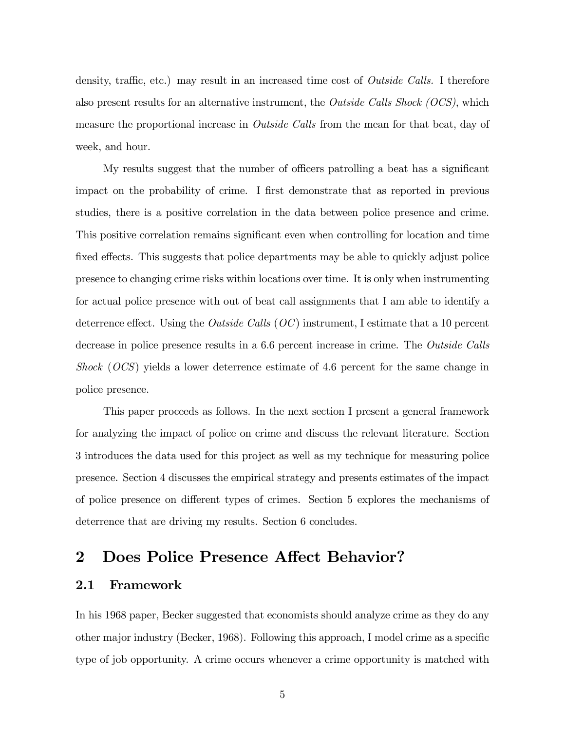density, traffic, etc.) may result in an increased time cost of *Outside Calls.* I therefore also present results for an alternative instrument, the Outside Calls Shock (OCS), which measure the proportional increase in *Outside Calls* from the mean for that beat, day of week, and hour.

My results suggest that the number of officers patrolling a beat has a significant impact on the probability of crime. I first demonstrate that as reported in previous studies, there is a positive correlation in the data between police presence and crime. This positive correlation remains significant even when controlling for location and time fixed effects. This suggests that police departments may be able to quickly adjust police presence to changing crime risks within locations over time. It is only when instrumenting for actual police presence with out of beat call assignments that I am able to identify a deterrence effect. Using the *Outside Calls* (*OC*) instrument, I estimate that a 10 percent decrease in police presence results in a 6.6 percent increase in crime. The Outside Calls Shock  $(OCS)$  yields a lower deterrence estimate of 4.6 percent for the same change in police presence.

This paper proceeds as follows. In the next section I present a general framework for analyzing the impact of police on crime and discuss the relevant literature. Section 3 introduces the data used for this project as well as my technique for measuring police presence. Section 4 discusses the empirical strategy and presents estimates of the impact of police presence on different types of crimes. Section 5 explores the mechanisms of deterrence that are driving my results. Section 6 concludes.

# 2 Does Police Presence Affect Behavior?

### 2.1 Framework

In his 1968 paper, Becker suggested that economists should analyze crime as they do any other major industry (Becker, 1968). Following this approach, I model crime as a specific type of job opportunity. A crime occurs whenever a crime opportunity is matched with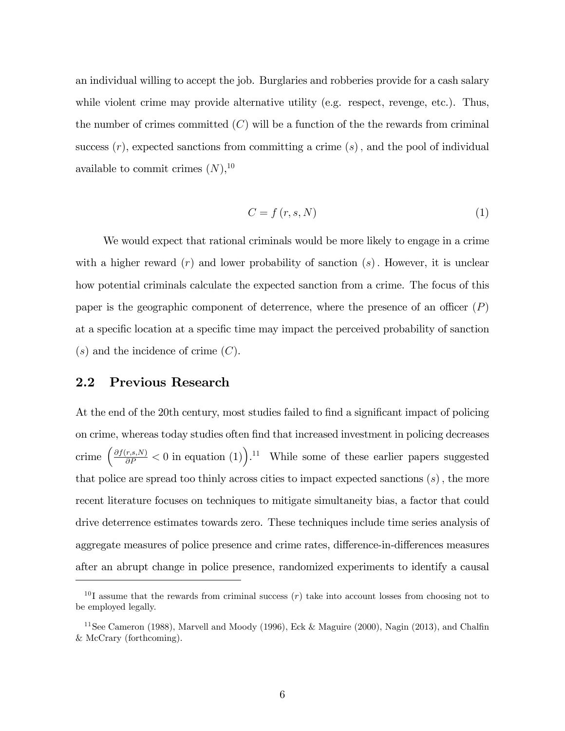an individual willing to accept the job. Burglaries and robberies provide for a cash salary while violent crime may provide alternative utility (e.g. respect, revenge, etc.). Thus, the number of crimes committed  $(C)$  will be a function of the the rewards from criminal success  $(r)$ , expected sanctions from committing a crime  $(s)$ , and the pool of individual available to commit crimes  $(N)$ ,<sup>10</sup>

$$
C = f(r, s, N) \tag{1}
$$

We would expect that rational criminals would be more likely to engage in a crime with a higher reward  $(r)$  and lower probability of sanction  $(s)$ . However, it is unclear how potential criminals calculate the expected sanction from a crime. The focus of this paper is the geographic component of deterrence, where the presence of an officer  $(P)$ at a specific location at a specific time may impact the perceived probability of sanction  $(s)$  and the incidence of crime  $(C)$ .

### 2.2 Previous Research

At the end of the 20th century, most studies failed to find a significant impact of policing on crime, whereas today studies often find that increased investment in policing decreases crime  $\left(\frac{\partial f(r,s,N)}{\partial P} < 0 \right)$  in equation (1).<sup>11</sup> While some of these earlier papers suggested that police are spread too thinly across cities to impact expected sanctions  $(s)$ , the more recent literature focuses on techniques to mitigate simultaneity bias, a factor that could drive deterrence estimates towards zero. These techniques include time series analysis of aggregate measures of police presence and crime rates, difference-in-differences measures after an abrupt change in police presence, randomized experiments to identify a causal

 $10$  I assume that the rewards from criminal success  $(r)$  take into account losses from choosing not to be employed legally.

<sup>&</sup>lt;sup>11</sup> See Cameron (1988), Marvell and Moody (1996), Eck & Maguire (2000), Nagin (2013), and Chalfin & McCrary (forthcoming).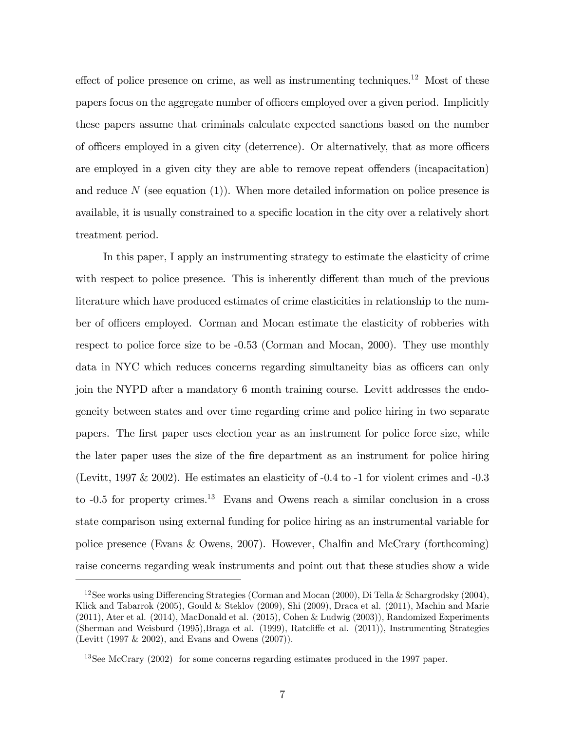effect of police presence on crime, as well as instrumenting techniques.<sup>12</sup> Most of these papers focus on the aggregate number of officers employed over a given period. Implicitly these papers assume that criminals calculate expected sanctions based on the number of officers employed in a given city (deterrence). Or alternatively, that as more officers are employed in a given city they are able to remove repeat offenders (incapacitation) and reduce  $N$  (see equation (1)). When more detailed information on police presence is available, it is usually constrained to a specific location in the city over a relatively short treatment period.

In this paper, I apply an instrumenting strategy to estimate the elasticity of crime with respect to police presence. This is inherently different than much of the previous literature which have produced estimates of crime elasticities in relationship to the number of officers employed. Corman and Mocan estimate the elasticity of robberies with respect to police force size to be -0.53 (Corman and Mocan, 2000). They use monthly data in NYC which reduces concerns regarding simultaneity bias as officers can only join the NYPD after a mandatory 6 month training course. Levitt addresses the endogeneity between states and over time regarding crime and police hiring in two separate papers. The Örst paper uses election year as an instrument for police force size, while the later paper uses the size of the fire department as an instrument for police hiring (Levitt, 1997 & 2002). He estimates an elasticity of -0.4 to -1 for violent crimes and -0.3 to  $-0.5$  for property crimes.<sup>13</sup> Evans and Owens reach a similar conclusion in a cross state comparison using external funding for police hiring as an instrumental variable for police presence (Evans & Owens, 2007). However, Chalfin and McCrary (forthcoming) raise concerns regarding weak instruments and point out that these studies show a wide

<sup>&</sup>lt;sup>12</sup>See works using Differencing Strategies (Corman and Mocan (2000), Di Tella & Schargrodsky (2004), Klick and Tabarrok (2005), Gould & Steklov (2009), Shi (2009), Draca et al. (2011), Machin and Marie (2011), Ater et al. (2014), MacDonald et al. (2015), Cohen & Ludwig (2003)), Randomized Experiments (Sherman and Weisburd (1995),Braga et al. (1999), Ratcli§e et al. (2011)), Instrumenting Strategies (Levitt (1997 & 2002), and Evans and Owens (2007)).

<sup>&</sup>lt;sup>13</sup>See McCrary (2002) for some concerns regarding estimates produced in the 1997 paper.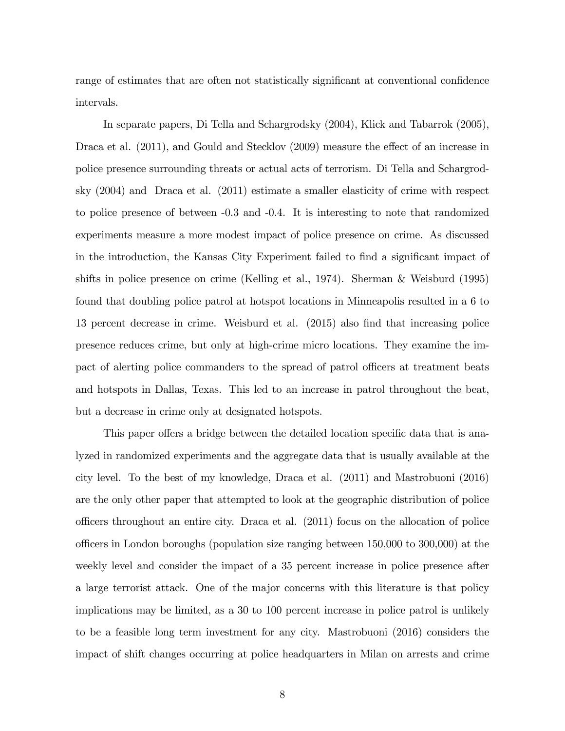range of estimates that are often not statistically significant at conventional confidence intervals.

In separate papers, Di Tella and Schargrodsky (2004), Klick and Tabarrok (2005), Draca et al. (2011), and Gould and Stecklov (2009) measure the effect of an increase in police presence surrounding threats or actual acts of terrorism. Di Tella and Schargrodsky (2004) and Draca et al. (2011) estimate a smaller elasticity of crime with respect to police presence of between -0.3 and -0.4. It is interesting to note that randomized experiments measure a more modest impact of police presence on crime. As discussed in the introduction, the Kansas City Experiment failed to find a significant impact of shifts in police presence on crime (Kelling et al., 1974). Sherman & Weisburd (1995) found that doubling police patrol at hotspot locations in Minneapolis resulted in a 6 to 13 percent decrease in crime. Weisburd et al. (2015) also find that increasing police presence reduces crime, but only at high-crime micro locations. They examine the impact of alerting police commanders to the spread of patrol officers at treatment beats and hotspots in Dallas, Texas. This led to an increase in patrol throughout the beat, but a decrease in crime only at designated hotspots.

This paper offers a bridge between the detailed location specific data that is analyzed in randomized experiments and the aggregate data that is usually available at the city level. To the best of my knowledge, Draca et al. (2011) and Mastrobuoni (2016) are the only other paper that attempted to look at the geographic distribution of police o¢ cers throughout an entire city. Draca et al. (2011) focus on the allocation of police officers in London boroughs (population size ranging between  $150,000$  to  $300,000$ ) at the weekly level and consider the impact of a 35 percent increase in police presence after a large terrorist attack. One of the major concerns with this literature is that policy implications may be limited, as a 30 to 100 percent increase in police patrol is unlikely to be a feasible long term investment for any city. Mastrobuoni (2016) considers the impact of shift changes occurring at police headquarters in Milan on arrests and crime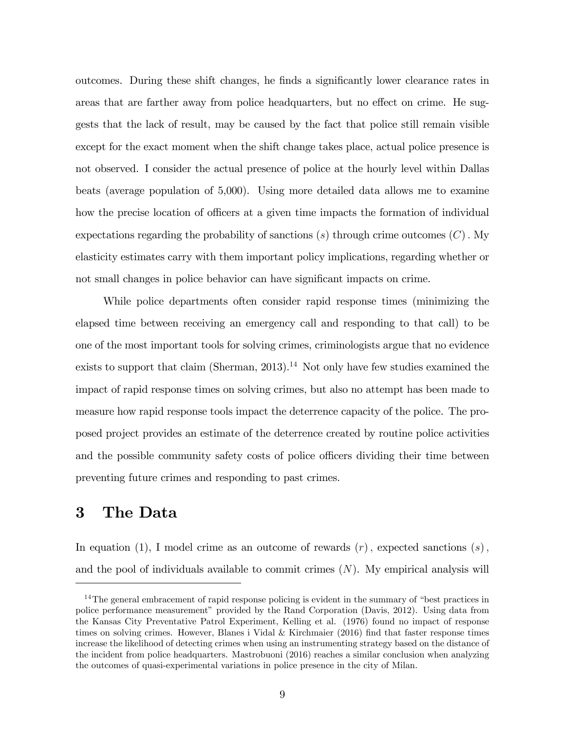outcomes. During these shift changes, he finds a significantly lower clearance rates in areas that are farther away from police headquarters, but no effect on crime. He suggests that the lack of result, may be caused by the fact that police still remain visible except for the exact moment when the shift change takes place, actual police presence is not observed. I consider the actual presence of police at the hourly level within Dallas beats (average population of 5,000). Using more detailed data allows me to examine how the precise location of officers at a given time impacts the formation of individual expectations regarding the probability of sanctions (s) through crime outcomes  $(C)$ . My elasticity estimates carry with them important policy implications, regarding whether or not small changes in police behavior can have significant impacts on crime.

While police departments often consider rapid response times (minimizing the elapsed time between receiving an emergency call and responding to that call) to be one of the most important tools for solving crimes, criminologists argue that no evidence exists to support that claim (Sherman,  $2013$ ).<sup>14</sup> Not only have few studies examined the impact of rapid response times on solving crimes, but also no attempt has been made to measure how rapid response tools impact the deterrence capacity of the police. The proposed project provides an estimate of the deterrence created by routine police activities and the possible community safety costs of police officers dividing their time between preventing future crimes and responding to past crimes.

# 3 The Data

In equation (1), I model crime as an outcome of rewards  $(r)$ , expected sanctions  $(s)$ , and the pool of individuals available to commit crimes  $(N)$ . My empirical analysis will

 $14$ The general embracement of rapid response policing is evident in the summary of "best practices in police performance measurementî provided by the Rand Corporation (Davis, 2012). Using data from the Kansas City Preventative Patrol Experiment, Kelling et al. (1976) found no impact of response times on solving crimes. However, Blanes i Vidal & Kirchmaier  $(2016)$  find that faster response times increase the likelihood of detecting crimes when using an instrumenting strategy based on the distance of the incident from police headquarters. Mastrobuoni (2016) reaches a similar conclusion when analyzing the outcomes of quasi-experimental variations in police presence in the city of Milan.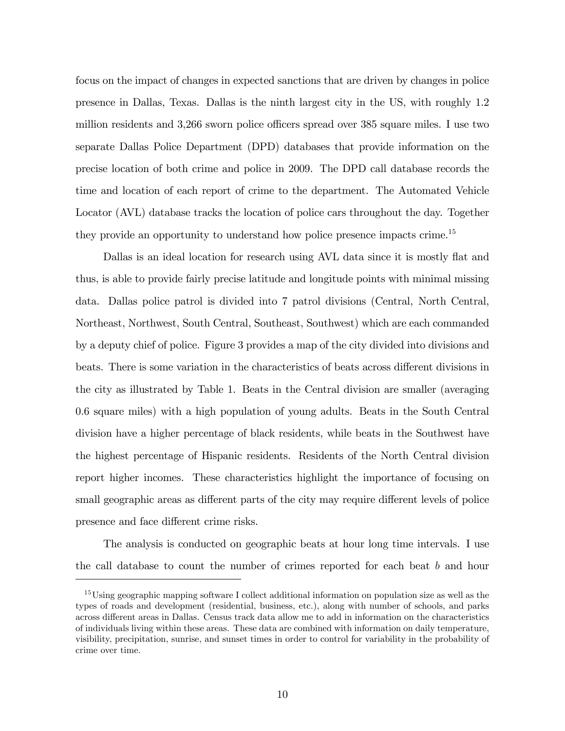focus on the impact of changes in expected sanctions that are driven by changes in police presence in Dallas, Texas. Dallas is the ninth largest city in the US, with roughly 1.2 million residents and 3,266 sworn police officers spread over 385 square miles. I use two separate Dallas Police Department (DPD) databases that provide information on the precise location of both crime and police in 2009. The DPD call database records the time and location of each report of crime to the department. The Automated Vehicle Locator (AVL) database tracks the location of police cars throughout the day. Together they provide an opportunity to understand how police presence impacts crime.<sup>15</sup>

Dallas is an ideal location for research using AVL data since it is mostly flat and thus, is able to provide fairly precise latitude and longitude points with minimal missing data. Dallas police patrol is divided into 7 patrol divisions (Central, North Central, Northeast, Northwest, South Central, Southeast, Southwest) which are each commanded by a deputy chief of police. Figure 3 provides a map of the city divided into divisions and beats. There is some variation in the characteristics of beats across different divisions in the city as illustrated by Table 1. Beats in the Central division are smaller (averaging 0.6 square miles) with a high population of young adults. Beats in the South Central division have a higher percentage of black residents, while beats in the Southwest have the highest percentage of Hispanic residents. Residents of the North Central division report higher incomes. These characteristics highlight the importance of focusing on small geographic areas as different parts of the city may require different levels of police presence and face different crime risks.

The analysis is conducted on geographic beats at hour long time intervals. I use the call database to count the number of crimes reported for each beat b and hour

<sup>&</sup>lt;sup>15</sup>Using geographic mapping software I collect additional information on population size as well as the types of roads and development (residential, business, etc.), along with number of schools, and parks across different areas in Dallas. Census track data allow me to add in information on the characteristics of individuals living within these areas. These data are combined with information on daily temperature, visibility, precipitation, sunrise, and sunset times in order to control for variability in the probability of crime over time.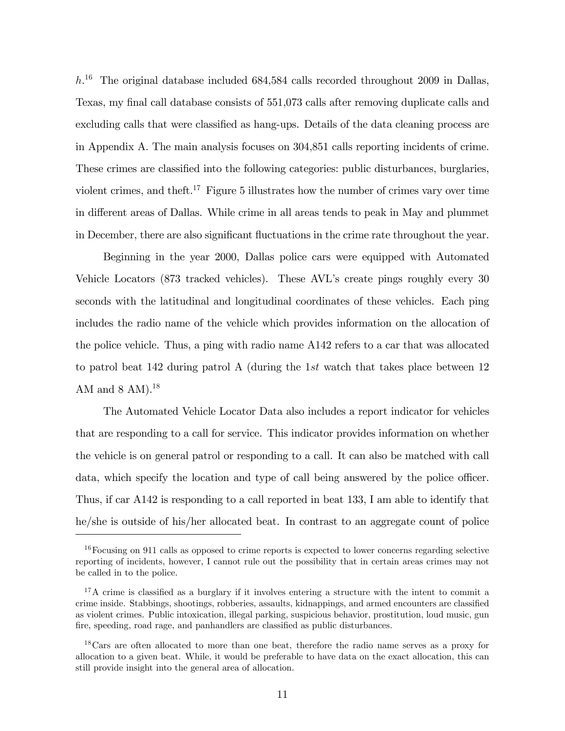h. <sup>16</sup> The original database included 684,584 calls recorded throughout 2009 in Dallas, Texas, my final call database consists of 551,073 calls after removing duplicate calls and excluding calls that were classified as hang-ups. Details of the data cleaning process are in Appendix A. The main analysis focuses on 304,851 calls reporting incidents of crime. These crimes are classified into the following categories: public disturbances, burglaries, violent crimes, and theft.<sup>17</sup> Figure 5 illustrates how the number of crimes vary over time in different areas of Dallas. While crime in all areas tends to peak in May and plummet in December, there are also significant fluctuations in the crime rate throughout the year.

Beginning in the year 2000, Dallas police cars were equipped with Automated Vehicle Locators (873 tracked vehicles). These AVLís create pings roughly every 30 seconds with the latitudinal and longitudinal coordinates of these vehicles. Each ping includes the radio name of the vehicle which provides information on the allocation of the police vehicle. Thus, a ping with radio name A142 refers to a car that was allocated to patrol beat 142 during patrol A (during the 1st watch that takes place between 12 AM and  $8$  AM).<sup>18</sup>

The Automated Vehicle Locator Data also includes a report indicator for vehicles that are responding to a call for service. This indicator provides information on whether the vehicle is on general patrol or responding to a call. It can also be matched with call data, which specify the location and type of call being answered by the police officer. Thus, if car A142 is responding to a call reported in beat 133, I am able to identify that he/she is outside of his/her allocated beat. In contrast to an aggregate count of police

 $16$  Focusing on 911 calls as opposed to crime reports is expected to lower concerns regarding selective reporting of incidents, however, I cannot rule out the possibility that in certain areas crimes may not be called in to the police.

 $17A$  crime is classified as a burglary if it involves entering a structure with the intent to commit a crime inside. Stabbings, shootings, robberies, assaults, kidnappings, and armed encounters are classified as violent crimes. Public intoxication, illegal parking, suspicious behavior, prostitution, loud music, gun fire, speeding, road rage, and panhandlers are classified as public disturbances.

<sup>&</sup>lt;sup>18</sup>Cars are often allocated to more than one beat, therefore the radio name serves as a proxy for allocation to a given beat. While, it would be preferable to have data on the exact allocation, this can still provide insight into the general area of allocation.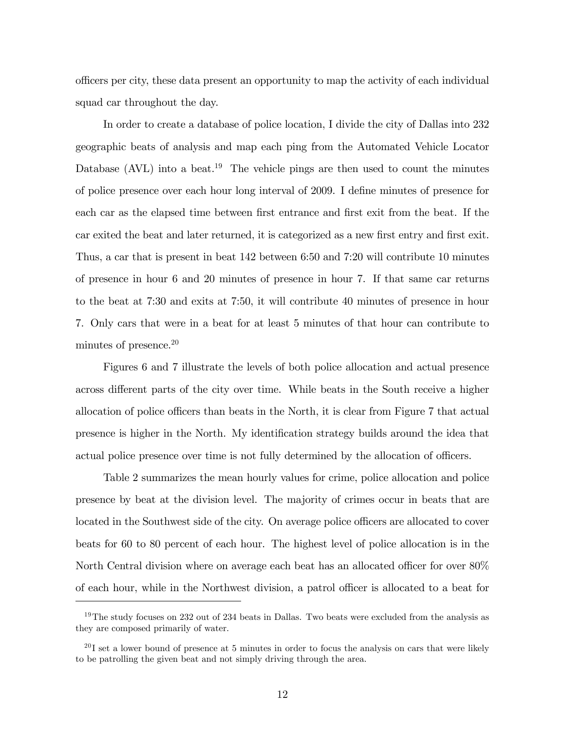o¢ cers per city, these data present an opportunity to map the activity of each individual squad car throughout the day.

In order to create a database of police location, I divide the city of Dallas into 232 geographic beats of analysis and map each ping from the Automated Vehicle Locator Database (AVL) into a beat.<sup>19</sup> The vehicle pings are then used to count the minutes of police presence over each hour long interval of 2009. I define minutes of presence for each car as the elapsed time between first entrance and first exit from the beat. If the car exited the beat and later returned, it is categorized as a new first entry and first exit. Thus, a car that is present in beat 142 between 6:50 and 7:20 will contribute 10 minutes of presence in hour 6 and 20 minutes of presence in hour 7. If that same car returns to the beat at 7:30 and exits at 7:50, it will contribute 40 minutes of presence in hour 7. Only cars that were in a beat for at least 5 minutes of that hour can contribute to minutes of presence. $20$ 

Figures 6 and 7 illustrate the levels of both police allocation and actual presence across different parts of the city over time. While beats in the South receive a higher allocation of police officers than beats in the North, it is clear from Figure 7 that actual presence is higher in the North. My identification strategy builds around the idea that actual police presence over time is not fully determined by the allocation of officers.

Table 2 summarizes the mean hourly values for crime, police allocation and police presence by beat at the division level. The majority of crimes occur in beats that are located in the Southwest side of the city. On average police officers are allocated to cover beats for 60 to 80 percent of each hour. The highest level of police allocation is in the North Central division where on average each beat has an allocated officer for over  $80\%$ of each hour, while in the Northwest division, a patrol officer is allocated to a beat for

<sup>&</sup>lt;sup>19</sup>The study focuses on 232 out of 234 beats in Dallas. Two beats were excluded from the analysis as they are composed primarily of water.

 $^{20}$ I set a lower bound of presence at 5 minutes in order to focus the analysis on cars that were likely to be patrolling the given beat and not simply driving through the area.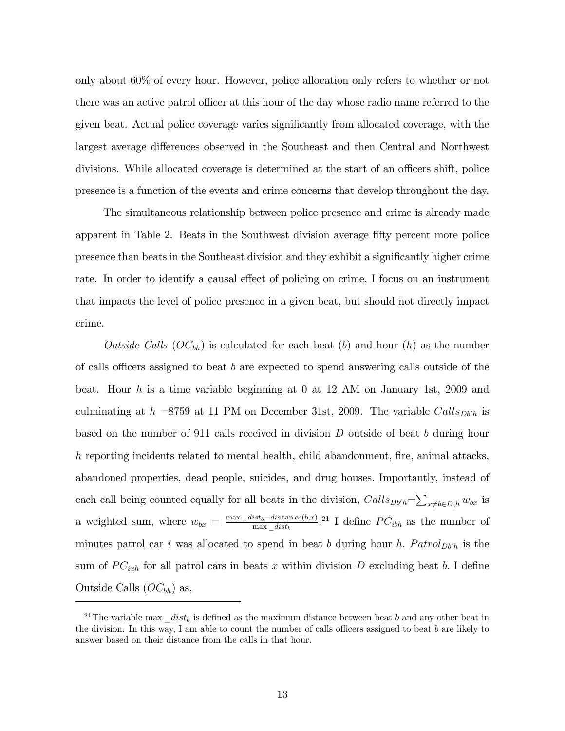only about 60% of every hour. However, police allocation only refers to whether or not there was an active patrol officer at this hour of the day whose radio name referred to the given beat. Actual police coverage varies significantly from allocated coverage, with the largest average differences observed in the Southeast and then Central and Northwest divisions. While allocated coverage is determined at the start of an officers shift, police presence is a function of the events and crime concerns that develop throughout the day.

The simultaneous relationship between police presence and crime is already made apparent in Table 2. Beats in the Southwest division average Öfty percent more police presence than beats in the Southeast division and they exhibit a significantly higher crime rate. In order to identify a causal effect of policing on crime, I focus on an instrument that impacts the level of police presence in a given beat, but should not directly impact crime.

Outside Calls  $(OC_{bh})$  is calculated for each beat (b) and hour (h) as the number of calls officers assigned to beat b are expected to spend answering calls outside of the beat. Hour h is a time variable beginning at 0 at 12 AM on January 1st, 2009 and culminating at  $h = 8759$  at 11 PM on December 31st, 2009. The variable  $Calls_{Dbh}$  is based on the number of 911 calls received in division D outside of beat b during hour  $h$  reporting incidents related to mental health, child abandonment, fire, animal attacks, abandoned properties, dead people, suicides, and drug houses: Importantly, instead of each call being counted equally for all beats in the division,  $Calls_{Db'h} = \sum_{x \neq b \in D,h} w_{bx}$  is a weighted sum, where  $w_{bx} = \frac{\max - dist_b - dis \tan ce(b,x)}{\max - dist_b}$  $\frac{dist_b - dist_b}{\max \_dist_b}$  21 I define  $PC_{ibh}$  as the number of minutes patrol car i was allocated to spend in beat b during hour h.  $Patrol_{Dbh}$  is the sum of  $PC_{ixh}$  for all patrol cars in beats x within division D excluding beat b. I define Outside Calls  $(OC_{bh})$  as,

<sup>&</sup>lt;sup>21</sup>The variable max  $dist_b$  is defined as the maximum distance between beat b and any other beat in the division. In this way, I am able to count the number of calls officers assigned to beat  $b$  are likely to answer based on their distance from the calls in that hour.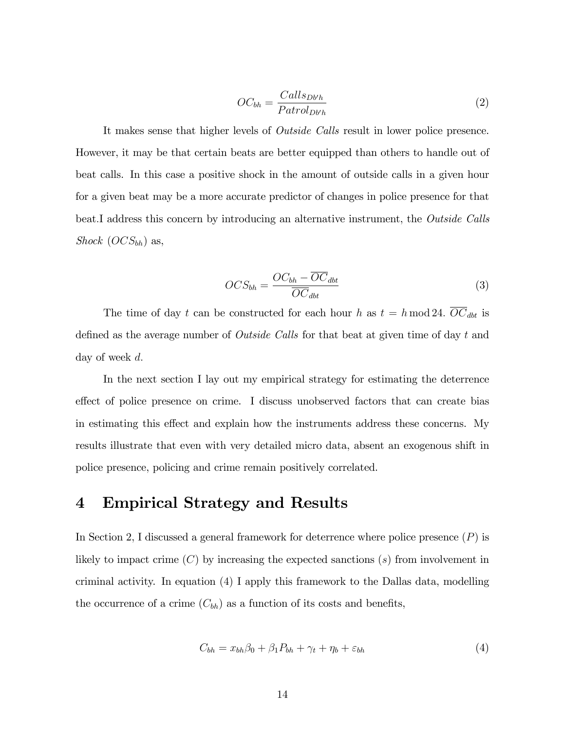$$
OC_{bh} = \frac{Calls_{Db'h}}{Patrol_{Db'h}}
$$
\n
$$
(2)
$$

It makes sense that higher levels of Outside Calls result in lower police presence. However, it may be that certain beats are better equipped than others to handle out of beat calls. In this case a positive shock in the amount of outside calls in a given hour for a given beat may be a more accurate predictor of changes in police presence for that beat:I address this concern by introducing an alternative instrument, the Outside Calls Shock  $(OCS_{bh})$  as,

$$
OCS_{bh} = \frac{OC_{bh} - \overline{OC}_{dbt}}{\overline{OC}_{dbt}}
$$
\n(3)

The time of day t can be constructed for each hour h as  $t = h \mod 24$ .  $\overline{OC}_{\text{dbt}}$  is defined as the average number of *Outside Calls* for that beat at given time of day t and day of week  $d$ .

In the next section I lay out my empirical strategy for estimating the deterrence effect of police presence on crime. I discuss unobserved factors that can create bias in estimating this effect and explain how the instruments address these concerns. My results illustrate that even with very detailed micro data, absent an exogenous shift in police presence, policing and crime remain positively correlated.

### 4 Empirical Strategy and Results

In Section 2, I discussed a general framework for deterrence where police presence  $(P)$  is likely to impact crime  $(C)$  by increasing the expected sanctions  $(s)$  from involvement in criminal activity. In equation (4) I apply this framework to the Dallas data, modelling the occurrence of a crime  $(C_{bh})$  as a function of its costs and benefits,

$$
C_{bh} = x_{bh}\beta_0 + \beta_1 P_{bh} + \gamma_t + \eta_b + \varepsilon_{bh} \tag{4}
$$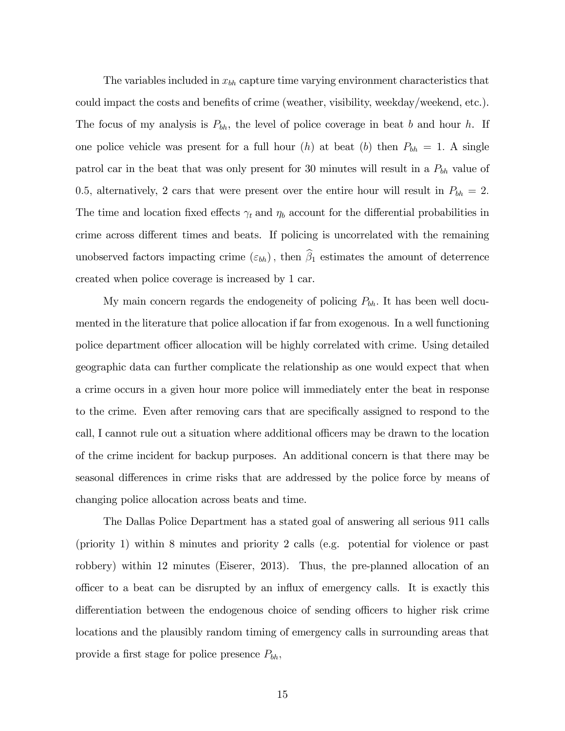The variables included in  $x_{bh}$  capture time varying environment characteristics that could impact the costs and benefits of crime (weather, visibility, weekday/weekend, etc.). The focus of my analysis is  $P_{bh}$ , the level of police coverage in beat b and hour h. If one police vehicle was present for a full hour  $(h)$  at beat  $(b)$  then  $P_{bh} = 1$ . A single patrol car in the beat that was only present for 30 minutes will result in a  $P_{bh}$  value of 0.5, alternatively, 2 cars that were present over the entire hour will result in  $P_{bh} = 2$ . The time and location fixed effects  $\gamma_t$  and  $\eta_b$  account for the differential probabilities in crime across different times and beats. If policing is uncorrelated with the remaining unobserved factors impacting crime  $(\varepsilon_{bh})$ , then  $\hat{\beta}_1$  estimates the amount of deterrence created when police coverage is increased by 1 car.

My main concern regards the endogeneity of policing  $P_{bh}$ . It has been well documented in the literature that police allocation if far from exogenous. In a well functioning police department officer allocation will be highly correlated with crime. Using detailed geographic data can further complicate the relationship as one would expect that when a crime occurs in a given hour more police will immediately enter the beat in response to the crime. Even after removing cars that are specifically assigned to respond to the call, I cannot rule out a situation where additional officers may be drawn to the location of the crime incident for backup purposes. An additional concern is that there may be seasonal differences in crime risks that are addressed by the police force by means of changing police allocation across beats and time.

The Dallas Police Department has a stated goal of answering all serious 911 calls (priority 1) within 8 minutes and priority 2 calls (e.g. potential for violence or past robbery) within 12 minutes (Eiserer, 2013). Thus, the pre-planned allocation of an officer to a beat can be disrupted by an influx of emergency calls. It is exactly this differentiation between the endogenous choice of sending officers to higher risk crime locations and the plausibly random timing of emergency calls in surrounding areas that provide a first stage for police presence  $P_{bh}$ ,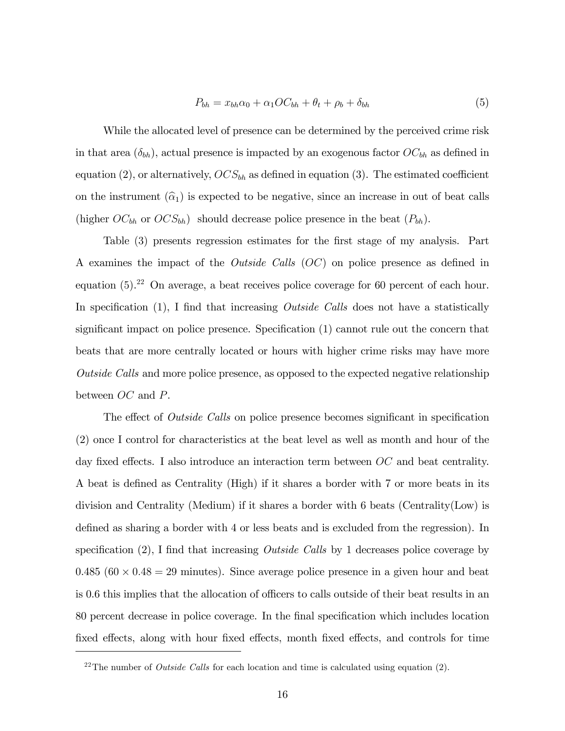$$
P_{bh} = x_{bh}\alpha_0 + \alpha_1 O C_{bh} + \theta_t + \rho_b + \delta_{bh}
$$
\n
$$
\tag{5}
$$

While the allocated level of presence can be determined by the perceived crime risk in that area  $(\delta_{bh})$ , actual presence is impacted by an exogenous factor  $OC_{bh}$  as defined in equation (2), or alternatively,  $OCS_{bh}$  as defined in equation (3). The estimated coefficient on the instrument  $(\widehat{\alpha}_1)$  is expected to be negative, since an increase in out of beat calls (higher  $OC_{bh}$  or  $OCS_{bh}$ ) should decrease police presence in the beat  $(P_{bh})$ .

Table (3) presents regression estimates for the first stage of my analysis. Part A examines the impact of the *Outside Calls*  $(OC)$  on police presence as defined in equation (5).<sup>22</sup> On average, a beat receives police coverage for 60 percent of each hour. In specification (1), I find that increasing *Outside Calls* does not have a statistically significant impact on police presence. Specification (1) cannot rule out the concern that beats that are more centrally located or hours with higher crime risks may have more Outside Calls and more police presence, as opposed to the expected negative relationship between OC and P.

The effect of *Outside Calls* on police presence becomes significant in specification (2) once I control for characteristics at the beat level as well as month and hour of the day fixed effects. I also introduce an interaction term between  $OC$  and beat centrality. A beat is defined as Centrality (High) if it shares a border with 7 or more beats in its division and Centrality (Medium) if it shares a border with 6 beats (Centrality(Low) is defined as sharing a border with 4 or less beats and is excluded from the regression). In specification  $(2)$ , I find that increasing *Outside Calls* by 1 decreases police coverage by  $0.485 (60 \times 0.48 = 29 \text{ minutes})$ . Since average police presence in a given hour and beat is 0.6 this implies that the allocation of officers to calls outside of their beat results in an 80 percent decrease in police coverage. In the final specification which includes location fixed effects, along with hour fixed effects, month fixed effects, and controls for time

<sup>&</sup>lt;sup>22</sup>The number of *Outside Calls* for each location and time is calculated using equation (2).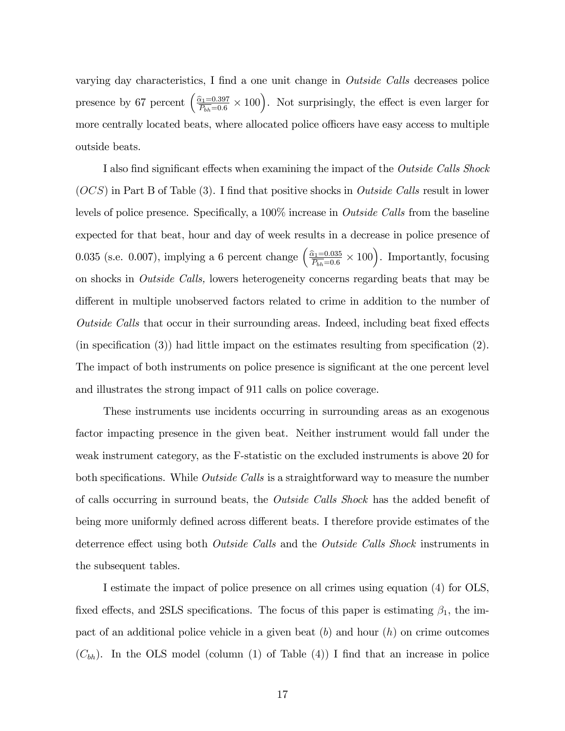varying day characteristics, I find a one unit change in *Outside Calls* decreases police presence by 67 percent  $\left(\frac{\hat{\alpha}_1=0.397}{\overline{P_{bh}}=0.6}\times100\right)$ . Not surprisingly, the effect is even larger for more centrally located beats, where allocated police officers have easy access to multiple outside beats.

I also find significant effects when examining the impact of the Outside Calls Shock  $(OCS)$  in Part B of Table (3). I find that positive shocks in *Outside Calls* result in lower levels of police presence. Specifically, a  $100\%$  increase in *Outside Calls* from the baseline expected for that beat, hour and day of week results in a decrease in police presence of 0.035 (s.e. 0.007), implying a 6 percent change  $\left(\frac{\hat{\alpha}_1=0.035}{\overline{P_{bh}}=0.6} \times 100\right)$ . Importantly, focusing on shocks in Outside Calls, lowers heterogeneity concerns regarding beats that may be different in multiple unobserved factors related to crime in addition to the number of Outside Calls that occur in their surrounding areas. Indeed, including beat fixed effects  $(in specification (3))$  had little impact on the estimates resulting from specification  $(2)$ . The impact of both instruments on police presence is significant at the one percent level and illustrates the strong impact of 911 calls on police coverage.

These instruments use incidents occurring in surrounding areas as an exogenous factor impacting presence in the given beat. Neither instrument would fall under the weak instrument category, as the F-statistic on the excluded instruments is above 20 for both specifications. While *Outside Calls* is a straightforward way to measure the number of calls occurring in surround beats, the *Outside Calls Shock* has the added benefit of being more uniformly defined across different beats. I therefore provide estimates of the deterrence effect using both *Outside Calls* and the *Outside Calls Shock* instruments in the subsequent tables.

I estimate the impact of police presence on all crimes using equation (4) for OLS, fixed effects, and 2SLS specifications. The focus of this paper is estimating  $\beta_1$ , the impact of an additional police vehicle in a given beat  $(b)$  and hour  $(h)$  on crime outcomes  $(C_{bh})$ . In the OLS model (column (1) of Table (4)) I find that an increase in police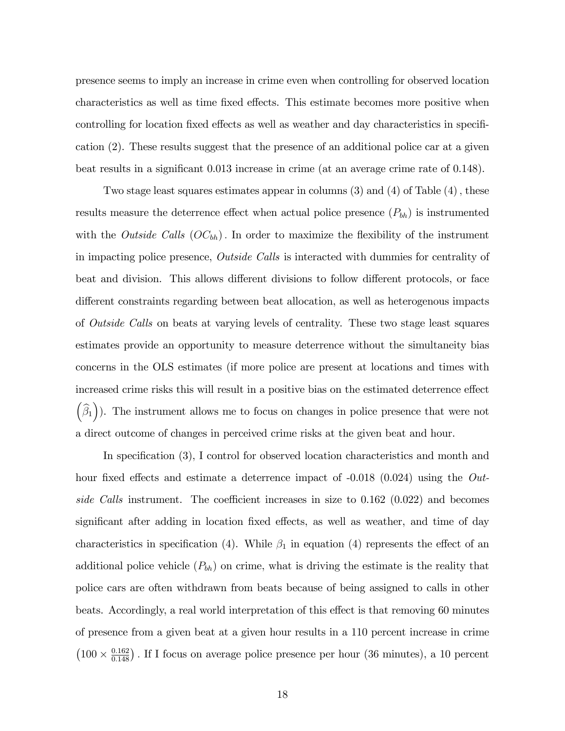presence seems to imply an increase in crime even when controlling for observed location characteristics as well as time fixed effects. This estimate becomes more positive when controlling for location fixed effects as well as weather and day characteristics in specification (2). These results suggest that the presence of an additional police car at a given beat results in a significant 0.013 increase in crime (at an average crime rate of 0.148).

Two stage least squares estimates appear in columns  $(3)$  and  $(4)$  of Table  $(4)$ , these results measure the deterrence effect when actual police presence  $(P_{bh})$  is instrumented with the *Outside Calls*  $(OC_{bh})$ . In order to maximize the flexibility of the instrument in impacting police presence, *Outside Calls* is interacted with dummies for centrality of beat and division. This allows different divisions to follow different protocols, or face different constraints regarding between beat allocation, as well as heterogenous impacts of Outside Calls on beats at varying levels of centrality. These two stage least squares estimates provide an opportunity to measure deterrence without the simultaneity bias concerns in the OLS estimates (if more police are present at locations and times with increased crime risks this will result in a positive bias on the estimated deterrence effect  $(\widehat{\beta}_1)$ ). The instrument allows me to focus on changes in police presence that were not a direct outcome of changes in perceived crime risks at the given beat and hour.

In specification  $(3)$ , I control for observed location characteristics and month and hour fixed effects and estimate a deterrence impact of  $-0.018$  (0.024) using the Outside Calls instrument. The coefficient increases in size to  $0.162$  (0.022) and becomes significant after adding in location fixed effects, as well as weather, and time of day characteristics in specification (4). While  $\beta_1$  in equation (4) represents the effect of an additional police vehicle  $(P_{bh})$  on crime, what is driving the estimate is the reality that police cars are often withdrawn from beats because of being assigned to calls in other beats. Accordingly, a real world interpretation of this effect is that removing 60 minutes of presence from a given beat at a given hour results in a 110 percent increase in crime  $(100 \times \frac{0.162}{0.148})$ . If I focus on average police presence per hour (36 minutes), a 10 percent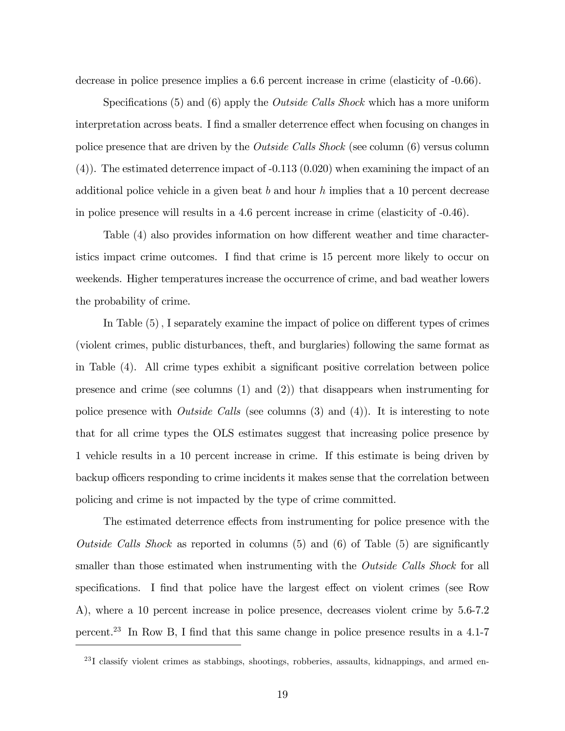decrease in police presence implies a 6.6 percent increase in crime (elasticity of -0.66).

Specifications (5) and (6) apply the *Outside Calls Shock* which has a more uniform interpretation across beats. I find a smaller deterrence effect when focusing on changes in police presence that are driven by the *Outside Calls Shock* (see column (6) versus column  $(4)$ ). The estimated deterrence impact of  $-0.113$   $(0.020)$  when examining the impact of an additional police vehicle in a given beat b and hour h implies that a 10 percent decrease in police presence will results in a 4.6 percent increase in crime (elasticity of -0.46).

Table (4) also provides information on how different weather and time characteristics impact crime outcomes. I find that crime is 15 percent more likely to occur on weekends. Higher temperatures increase the occurrence of crime, and bad weather lowers the probability of crime.

In Table  $(5)$ , I separately examine the impact of police on different types of crimes (violent crimes, public disturbances, theft, and burglaries) following the same format as in Table  $(4)$ . All crime types exhibit a significant positive correlation between police presence and crime (see columns (1) and (2)) that disappears when instrumenting for police presence with *Outside Calls* (see columns  $(3)$  and  $(4)$ ). It is interesting to note that for all crime types the OLS estimates suggest that increasing police presence by 1 vehicle results in a 10 percent increase in crime. If this estimate is being driven by backup officers responding to crime incidents it makes sense that the correlation between policing and crime is not impacted by the type of crime committed.

The estimated deterrence effects from instrumenting for police presence with the *Outside Calls Shock* as reported in columns  $(5)$  and  $(6)$  of Table  $(5)$  are significantly smaller than those estimated when instrumenting with the *Outside Calls Shock* for all specifications. I find that police have the largest effect on violent crimes (see Row A), where a 10 percent increase in police presence, decreases violent crime by 5.6-7.2 percent.<sup>23</sup> In Row B, I find that this same change in police presence results in a 4.1-7

<sup>&</sup>lt;sup>23</sup>I classify violent crimes as stabbings, shootings, robberies, assaults, kidnappings, and armed en-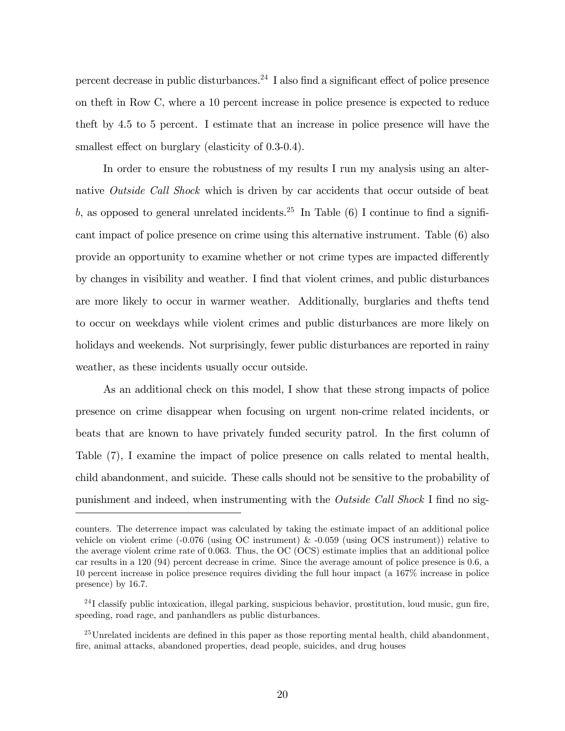percent decrease in public disturbances.<sup>24</sup> I also find a significant effect of police presence on theft in Row C, where a 10 percent increase in police presence is expected to reduce theft by 4.5 to 5 percent. I estimate that an increase in police presence will have the smallest effect on burglary (elasticity of 0.3-0.4).

In order to ensure the robustness of my results I run my analysis using an alternative Outside Call Shock which is driven by car accidents that occur outside of beat b, as opposed to general unrelated incidents.<sup>25</sup> In Table (6) I continue to find a significant impact of police presence on crime using this alternative instrument. Table (6) also provide an opportunity to examine whether or not crime types are impacted differently by changes in visibility and weather. I Önd that violent crimes, and public disturbances are more likely to occur in warmer weather. Additionally, burglaries and thefts tend to occur on weekdays while violent crimes and public disturbances are more likely on holidays and weekends. Not surprisingly, fewer public disturbances are reported in rainy weather, as these incidents usually occur outside.

As an additional check on this model, I show that these strong impacts of police presence on crime disappear when focusing on urgent non-crime related incidents, or beats that are known to have privately funded security patrol. In the first column of Table (7), I examine the impact of police presence on calls related to mental health, child abandonment, and suicide. These calls should not be sensitive to the probability of punishment and indeed, when instrumenting with the *Outside Call Shock* I find no sig-

counters. The deterrence impact was calculated by taking the estimate impact of an additional police vehicle on violent crime  $(-0.076$  (using OC instrument)  $\& -0.059$  (using OCS instrument)) relative to the average violent crime rate of 0.063. Thus, the OC (OCS) estimate implies that an additional police car results in a 120 (94) percent decrease in crime. Since the average amount of police presence is 0.6, a 10 percent increase in police presence requires dividing the full hour impact (a 167% increase in police presence) by 16.7.

 $^{24}$ I classify public intoxication, illegal parking, suspicious behavior, prostitution, loud music, gun fire, speeding, road rage, and panhandlers as public disturbances.

 $^{25}$ Unrelated incidents are defined in this paper as those reporting mental health, child abandonment, fire, animal attacks, abandoned properties, dead people, suicides, and drug houses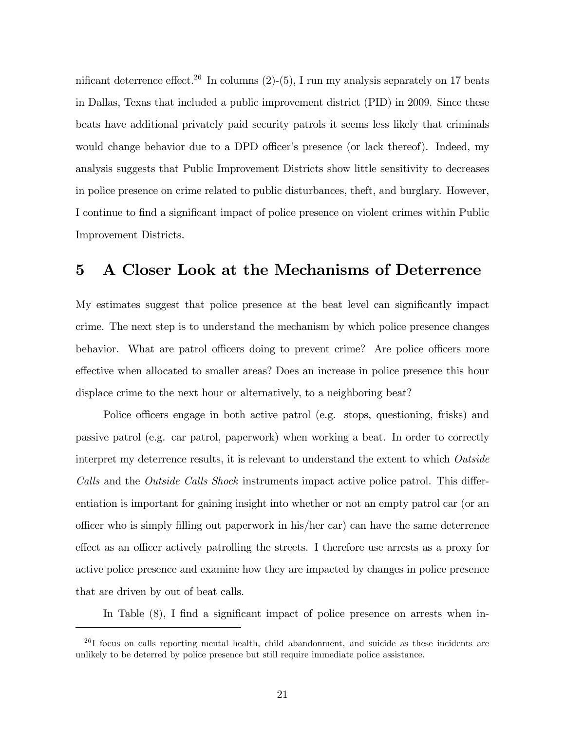nificant deterrence effect.<sup>26</sup> In columns  $(2)-(5)$ , I run my analysis separately on 17 beats in Dallas, Texas that included a public improvement district (PID) in 2009. Since these beats have additional privately paid security patrols it seems less likely that criminals would change behavior due to a DPD officer's presence (or lack thereof). Indeed, my analysis suggests that Public Improvement Districts show little sensitivity to decreases in police presence on crime related to public disturbances, theft, and burglary. However, I continue to find a significant impact of police presence on violent crimes within Public Improvement Districts.

# 5 A Closer Look at the Mechanisms of Deterrence

My estimates suggest that police presence at the beat level can significantly impact crime. The next step is to understand the mechanism by which police presence changes behavior. What are patrol officers doing to prevent crime? Are police officers more effective when allocated to smaller areas? Does an increase in police presence this hour displace crime to the next hour or alternatively, to a neighboring beat?

Police officers engage in both active patrol (e.g. stops, questioning, frisks) and passive patrol (e.g. car patrol, paperwork) when working a beat. In order to correctly interpret my deterrence results, it is relevant to understand the extent to which Outside Calls and the Outside Calls Shock instruments impact active police patrol. This differentiation is important for gaining insight into whether or not an empty patrol car (or an o¢ cer who is simply Ölling out paperwork in his/her car) can have the same deterrence effect as an officer actively patrolling the streets. I therefore use arrests as a proxy for active police presence and examine how they are impacted by changes in police presence that are driven by out of beat calls.

In Table  $(8)$ , I find a significant impact of police presence on arrests when in-

<sup>&</sup>lt;sup>26</sup>I focus on calls reporting mental health, child abandonment, and suicide as these incidents are unlikely to be deterred by police presence but still require immediate police assistance.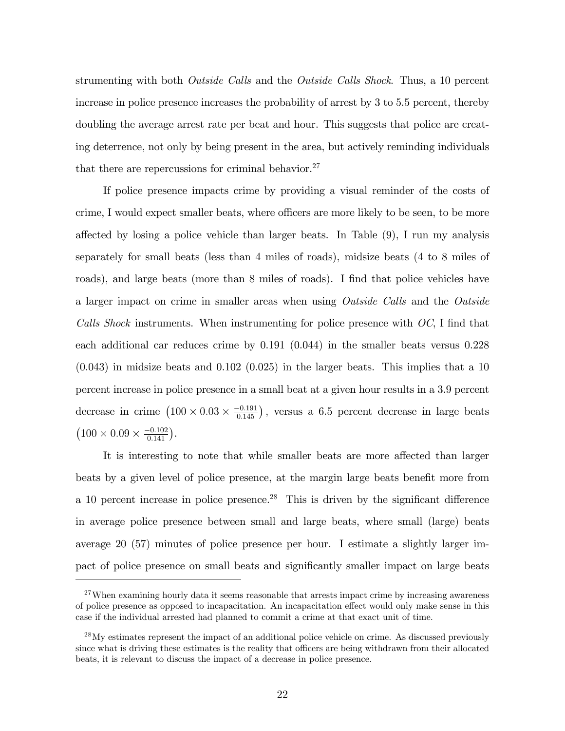strumenting with both *Outside Calls* and the *Outside Calls Shock*. Thus, a 10 percent increase in police presence increases the probability of arrest by 3 to 5.5 percent, thereby doubling the average arrest rate per beat and hour. This suggests that police are creating deterrence, not only by being present in the area, but actively reminding individuals that there are repercussions for criminal behavior.<sup>27</sup>

If police presence impacts crime by providing a visual reminder of the costs of crime, I would expect smaller beats, where officers are more likely to be seen, to be more affected by losing a police vehicle than larger beats. In Table  $(9)$ , I run my analysis separately for small beats (less than 4 miles of roads), midsize beats (4 to 8 miles of roads), and large beats (more than 8 miles of roads). I find that police vehicles have a larger impact on crime in smaller areas when using Outside Calls and the Outside Calls Shock instruments. When instrumenting for police presence with  $OC$ , I find that each additional car reduces crime by 0.191 (0.044) in the smaller beats versus 0.228  $(0.043)$  in midsize beats and  $(0.102)(0.025)$  in the larger beats. This implies that a 10 percent increase in police presence in a small beat at a given hour results in a 3.9 percent decrease in crime  $(100 \times 0.03 \times \frac{-0.191}{0.145})$ , versus a 6.5 percent decrease in large beats  $(100 \times 0.09 \times \frac{-0.102}{0.141}).$ 

It is interesting to note that while smaller beats are more affected than larger beats by a given level of police presence, at the margin large beats benefit more from a 10 percent increase in police presence.<sup>28</sup> This is driven by the significant difference in average police presence between small and large beats, where small (large) beats average 20 (57) minutes of police presence per hour. I estimate a slightly larger impact of police presence on small beats and significantly smaller impact on large beats

 $27$ When examining hourly data it seems reasonable that arrests impact crime by increasing awareness of police presence as opposed to incapacitation. An incapacitation effect would only make sense in this case if the individual arrested had planned to commit a crime at that exact unit of time.

 $^{28}$ My estimates represent the impact of an additional police vehicle on crime. As discussed previously since what is driving these estimates is the reality that officers are being withdrawn from their allocated beats, it is relevant to discuss the impact of a decrease in police presence.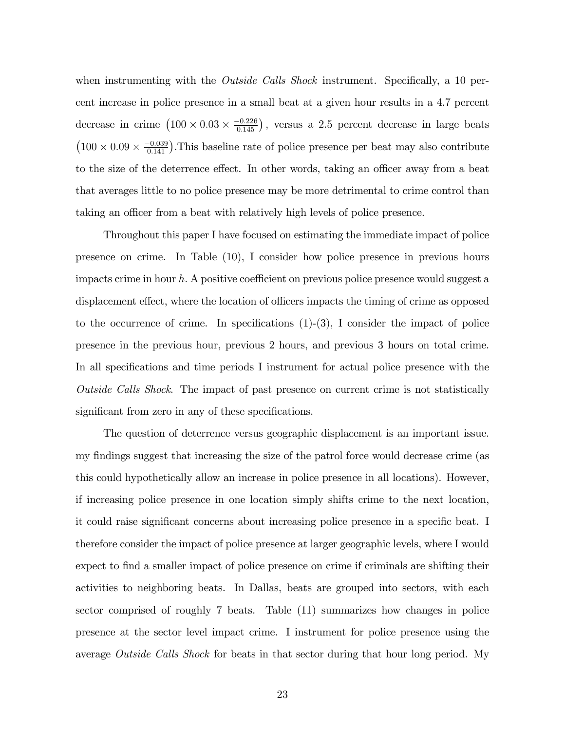when instrumenting with the *Outside Calls Shock* instrument. Specifically, a 10 percent increase in police presence in a small beat at a given hour results in a 4.7 percent decrease in crime  $(100 \times 0.03 \times \frac{-0.226}{0.145})$ , versus a 2.5 percent decrease in large beats  $(100 \times 0.09 \times \frac{-0.039}{0.141})$ . This baseline rate of police presence per beat may also contribute to the size of the deterrence effect. In other words, taking an officer away from a beat that averages little to no police presence may be more detrimental to crime control than taking an officer from a beat with relatively high levels of police presence.

Throughout this paper I have focused on estimating the immediate impact of police presence on crime. In Table (10), I consider how police presence in previous hours impacts crime in hour  $h$ . A positive coefficient on previous police presence would suggest a displacement effect, where the location of officers impacts the timing of crime as opposed to the occurrence of crime. In specifications  $(1)-(3)$ , I consider the impact of police presence in the previous hour, previous 2 hours, and previous 3 hours on total crime. In all specifications and time periods I instrument for actual police presence with the Outside Calls Shock. The impact of past presence on current crime is not statistically significant from zero in any of these specifications.

The question of deterrence versus geographic displacement is an important issue. my findings suggest that increasing the size of the patrol force would decrease crime (as this could hypothetically allow an increase in police presence in all locations). However, if increasing police presence in one location simply shifts crime to the next location, it could raise significant concerns about increasing police presence in a specific beat. I therefore consider the impact of police presence at larger geographic levels, where I would expect to find a smaller impact of police presence on crime if criminals are shifting their activities to neighboring beats. In Dallas, beats are grouped into sectors, with each sector comprised of roughly 7 beats. Table (11) summarizes how changes in police presence at the sector level impact crime. I instrument for police presence using the average Outside Calls Shock for beats in that sector during that hour long period. My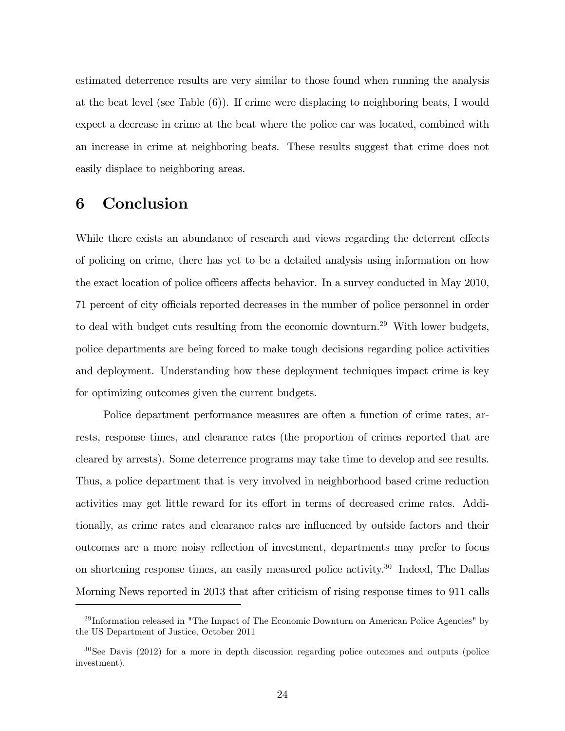estimated deterrence results are very similar to those found when running the analysis at the beat level (see Table (6)). If crime were displacing to neighboring beats, I would expect a decrease in crime at the beat where the police car was located, combined with an increase in crime at neighboring beats. These results suggest that crime does not easily displace to neighboring areas.

# 6 Conclusion

While there exists an abundance of research and views regarding the deterrent effects of policing on crime, there has yet to be a detailed analysis using information on how the exact location of police officers affects behavior. In a survey conducted in May 2010, 71 percent of city officials reported decreases in the number of police personnel in order to deal with budget cuts resulting from the economic downturn.<sup>29</sup> With lower budgets, police departments are being forced to make tough decisions regarding police activities and deployment. Understanding how these deployment techniques impact crime is key for optimizing outcomes given the current budgets.

Police department performance measures are often a function of crime rates, arrests, response times, and clearance rates (the proportion of crimes reported that are cleared by arrests). Some deterrence programs may take time to develop and see results. Thus, a police department that is very involved in neighborhood based crime reduction activities may get little reward for its effort in terms of decreased crime rates. Additionally, as crime rates and clearance rates are ináuenced by outside factors and their outcomes are a more noisy reflection of investment, departments may prefer to focus on shortening response times, an easily measured police activity.<sup>30</sup> Indeed, The Dallas Morning News reported in 2013 that after criticism of rising response times to 911 calls

 $^{29}$ Information released in "The Impact of The Economic Downturn on American Police Agencies" by the US Department of Justice, October 2011

 $30$ See Davis (2012) for a more in depth discussion regarding police outcomes and outputs (police investment).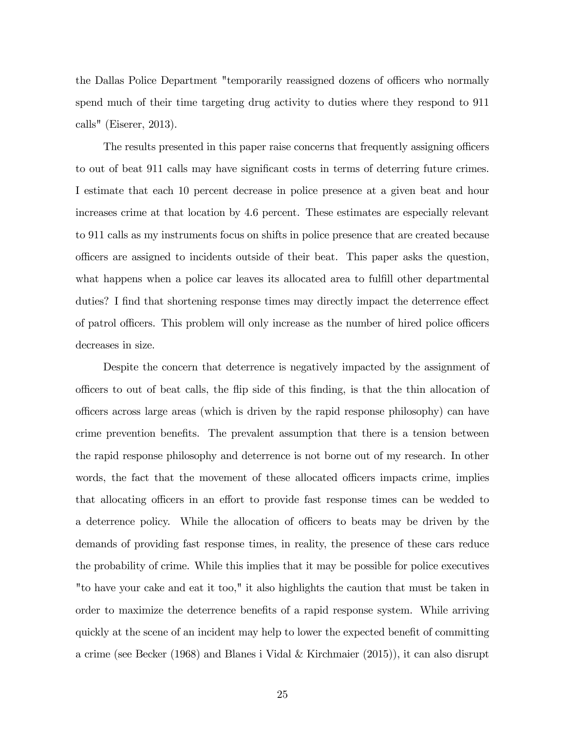the Dallas Police Department "temporarily reassigned dozens of officers who normally spend much of their time targeting drug activity to duties where they respond to 911 calls" (Eiserer, 2013).

The results presented in this paper raise concerns that frequently assigning officers to out of beat 911 calls may have significant costs in terms of deterring future crimes. I estimate that each 10 percent decrease in police presence at a given beat and hour increases crime at that location by 4.6 percent. These estimates are especially relevant to 911 calls as my instruments focus on shifts in police presence that are created because o¢ cers are assigned to incidents outside of their beat. This paper asks the question, what happens when a police car leaves its allocated area to fulfill other departmental duties? I find that shortening response times may directly impact the deterrence effect of patrol officers. This problem will only increase as the number of hired police officers decreases in size.

Despite the concern that deterrence is negatively impacted by the assignment of officers to out of beat calls, the flip side of this finding, is that the thin allocation of o¢ cers across large areas (which is driven by the rapid response philosophy) can have crime prevention benefits. The prevalent assumption that there is a tension between the rapid response philosophy and deterrence is not borne out of my research. In other words, the fact that the movement of these allocated officers impacts crime, implies that allocating officers in an effort to provide fast response times can be wedded to a deterrence policy. While the allocation of officers to beats may be driven by the demands of providing fast response times, in reality, the presence of these cars reduce the probability of crime. While this implies that it may be possible for police executives "to have your cake and eat it too," it also highlights the caution that must be taken in order to maximize the deterrence benefits of a rapid response system. While arriving quickly at the scene of an incident may help to lower the expected benefit of committing a crime (see Becker (1968) and Blanes i Vidal & Kirchmaier (2015)), it can also disrupt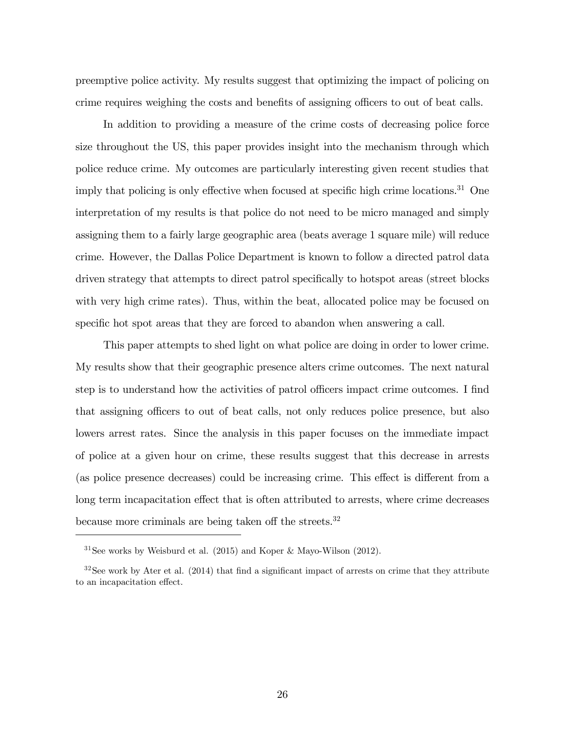preemptive police activity. My results suggest that optimizing the impact of policing on crime requires weighing the costs and benefits of assigning officers to out of beat calls.

In addition to providing a measure of the crime costs of decreasing police force size throughout the US, this paper provides insight into the mechanism through which police reduce crime. My outcomes are particularly interesting given recent studies that imply that policing is only effective when focused at specific high crime locations.<sup>31</sup> One interpretation of my results is that police do not need to be micro managed and simply assigning them to a fairly large geographic area (beats average 1 square mile) will reduce crime. However, the Dallas Police Department is known to follow a directed patrol data driven strategy that attempts to direct patrol specifically to hotspot areas (street blocks with very high crime rates). Thus, within the beat, allocated police may be focused on specific hot spot areas that they are forced to abandon when answering a call.

This paper attempts to shed light on what police are doing in order to lower crime. My results show that their geographic presence alters crime outcomes. The next natural step is to understand how the activities of patrol officers impact crime outcomes. I find that assigning officers to out of beat calls, not only reduces police presence, but also lowers arrest rates. Since the analysis in this paper focuses on the immediate impact of police at a given hour on crime, these results suggest that this decrease in arrests (as police presence decreases) could be increasing crime. This effect is different from a long term incapacitation effect that is often attributed to arrests, where crime decreases because more criminals are being taken off the streets.<sup>32</sup>

 $31$ See works by Weisburd et al. (2015) and Koper & Mayo-Wilson (2012).

 $32$ See work by Ater et al. (2014) that find a significant impact of arrests on crime that they attribute to an incapacitation effect.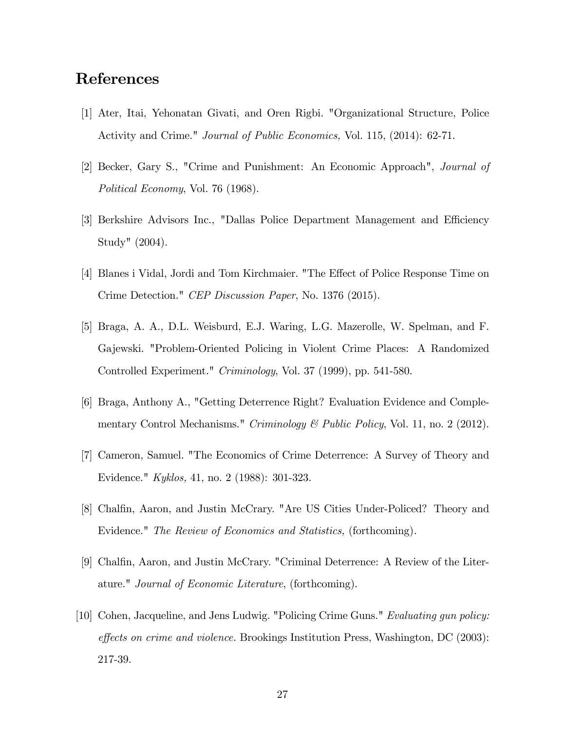## References

- [1] Ater, Itai, Yehonatan Givati, and Oren Rigbi. "Organizational Structure, Police Activity and Crime." Journal of Public Economics, Vol. 115, (2014): 62-71.
- [2] Becker, Gary S., "Crime and Punishment: An Economic Approach", Journal of Political Economy, Vol. 76 (1968).
- [3] Berkshire Advisors Inc., "Dallas Police Department Management and Efficiency Study" (2004).
- [4] Blanes i Vidal, Jordi and Tom Kirchmaier. "The Effect of Police Response Time on Crime Detection." CEP Discussion Paper, No. 1376 (2015).
- [5] Braga, A. A., D.L. Weisburd, E.J. Waring, L.G. Mazerolle, W. Spelman, and F. Gajewski. "Problem-Oriented Policing in Violent Crime Places: A Randomized Controlled Experiment." Criminology, Vol. 37 (1999), pp. 541-580.
- [6] Braga, Anthony A., "Getting Deterrence Right? Evaluation Evidence and Complementary Control Mechanisms." Criminology & Public Policy, Vol. 11, no. 2 (2012).
- [7] Cameron, Samuel. "The Economics of Crime Deterrence: A Survey of Theory and Evidence." Kyklos, 41, no. 2 (1988): 301-323.
- [8] Chalfin, Aaron, and Justin McCrary. "Are US Cities Under-Policed? Theory and Evidence." The Review of Economics and Statistics, (forthcoming).
- [9] Chalfin, Aaron, and Justin McCrary. "Criminal Deterrence: A Review of the Literature." Journal of Economic Literature, (forthcoming).
- [10] Cohen, Jacqueline, and Jens Ludwig. "Policing Crime Guns." Evaluating gun policy: effects on crime and violence. Brookings Institution Press, Washington, DC (2003): 217-39.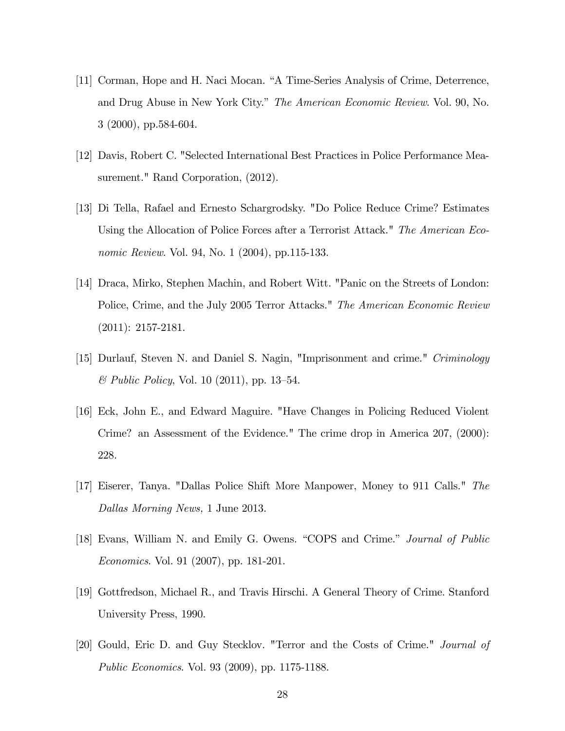- [11] Corman, Hope and H. Naci Mocan. "A Time-Series Analysis of Crime, Deterrence, and Drug Abuse in New York City." The American Economic Review. Vol. 90, No. 3 (2000), pp.584-604.
- [12] Davis, Robert C. "Selected International Best Practices in Police Performance Measurement." Rand Corporation,  $(2012)$ .
- [13] Di Tella, Rafael and Ernesto Schargrodsky. "Do Police Reduce Crime? Estimates Using the Allocation of Police Forces after a Terrorist Attack." The American Economic Review. Vol. 94, No. 1 (2004), pp.115-133.
- [14] Draca, Mirko, Stephen Machin, and Robert Witt. "Panic on the Streets of London: Police, Crime, and the July 2005 Terror Attacks." The American Economic Review (2011): 2157-2181.
- [15] Durlauf, Steven N. and Daniel S. Nagin, "Imprisonment and crime." Criminology  $& Public Policy, Vol. 10 (2011), pp. 13–54.$
- [16] Eck, John E., and Edward Maguire. "Have Changes in Policing Reduced Violent Crime? an Assessment of the Evidence." The crime drop in America 207, (2000): 228.
- [17] Eiserer, Tanya. "Dallas Police Shift More Manpower, Money to 911 Calls." The Dallas Morning News, 1 June 2013.
- [18] Evans, William N. and Emily G. Owens. "COPS and Crime." Journal of Public Economics. Vol. 91 (2007), pp. 181-201.
- [19] Gottfredson, Michael R., and Travis Hirschi. A General Theory of Crime. Stanford University Press, 1990.
- [20] Gould, Eric D. and Guy Stecklov. "Terror and the Costs of Crime." Journal of Public Economics. Vol. 93 (2009), pp. 1175-1188.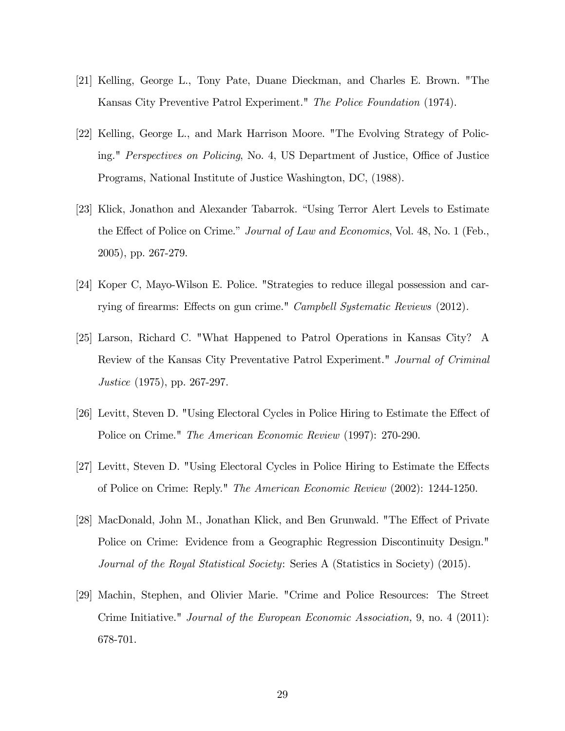- [21] Kelling, George L., Tony Pate, Duane Dieckman, and Charles E. Brown. "The Kansas City Preventive Patrol Experiment." The Police Foundation (1974).
- [22] Kelling, George L., and Mark Harrison Moore. "The Evolving Strategy of Policing." *Perspectives on Policing*, No. 4, US Department of Justice, Office of Justice Programs, National Institute of Justice Washington, DC, (1988).
- [23] Klick, Jonathon and Alexander Tabarrok. "Using Terror Alert Levels to Estimate the Effect of Police on Crime." Journal of Law and Economics, Vol. 48, No. 1 (Feb., 2005), pp. 267-279.
- [24] Koper C, Mayo-Wilson E. Police. "Strategies to reduce illegal possession and carrying of firearms: Effects on gun crime." Campbell Systematic Reviews (2012).
- [25] Larson, Richard C. "What Happened to Patrol Operations in Kansas City? A Review of the Kansas City Preventative Patrol Experiment." Journal of Criminal Justice (1975), pp. 267-297.
- [26] Levitt, Steven D. "Using Electoral Cycles in Police Hiring to Estimate the Effect of Police on Crime." The American Economic Review (1997): 270-290.
- [27] Levitt, Steven D. "Using Electoral Cycles in Police Hiring to Estimate the Effects of Police on Crime: Reply." The American Economic Review (2002): 1244-1250.
- [28] MacDonald, John M., Jonathan Klick, and Ben Grunwald. "The Effect of Private Police on Crime: Evidence from a Geographic Regression Discontinuity Design." Journal of the Royal Statistical Society: Series A (Statistics in Society) (2015).
- [29] Machin, Stephen, and Olivier Marie. "Crime and Police Resources: The Street Crime Initiative." Journal of the European Economic Association, 9, no. 4 (2011): 678-701.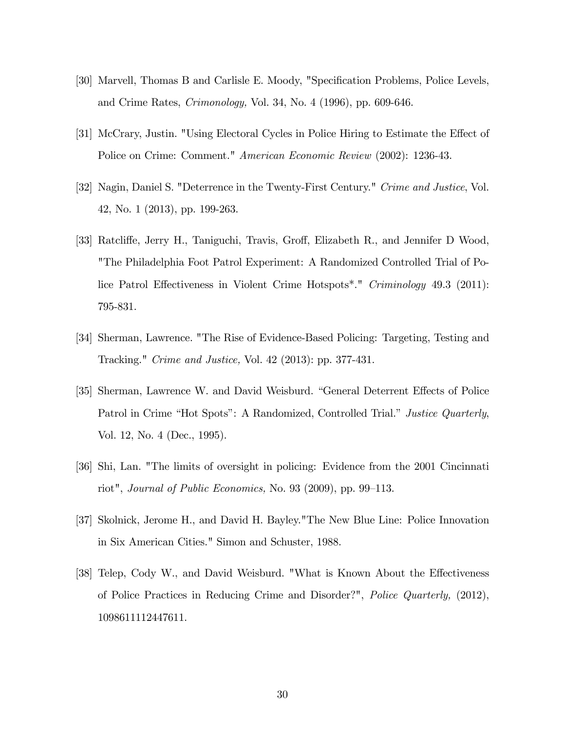- [30] Marvell, Thomas B and Carlisle E. Moody, "Specification Problems, Police Levels, and Crime Rates, Crimonology, Vol. 34, No. 4 (1996), pp. 609-646.
- [31] McCrary, Justin. "Using Electoral Cycles in Police Hiring to Estimate the Effect of Police on Crime: Comment." American Economic Review (2002): 1236-43.
- [32] Nagin, Daniel S. "Deterrence in the Twenty-First Century." Crime and Justice, Vol. 42, No. 1 (2013), pp. 199-263.
- [33] Ratcliffe, Jerry H., Taniguchi, Travis, Groff, Elizabeth R., and Jennifer D Wood, "The Philadelphia Foot Patrol Experiment: A Randomized Controlled Trial of Police Patrol Effectiveness in Violent Crime Hotspots\*." Criminology 49.3 (2011): 795-831.
- [34] Sherman, Lawrence. "The Rise of Evidence-Based Policing: Targeting, Testing and Tracking." Crime and Justice, Vol. 42 (2013): pp. 377-431.
- [35] Sherman, Lawrence W. and David Weisburd. "General Deterrent Effects of Police Patrol in Crime "Hot Spots": A Randomized, Controlled Trial." Justice Quarterly, Vol. 12, No. 4 (Dec., 1995).
- [36] Shi, Lan. "The limits of oversight in policing: Evidence from the 2001 Cincinnati riot", Journal of Public Economics, No. 93 (2009), pp. 99–113.
- [37] Skolnick, Jerome H., and David H. Bayley."The New Blue Line: Police Innovation in Six American Cities." Simon and Schuster, 1988.
- [38] Telep, Cody W., and David Weisburd. "What is Known About the Effectiveness of Police Practices in Reducing Crime and Disorder?", Police Quarterly, (2012), 1098611112447611.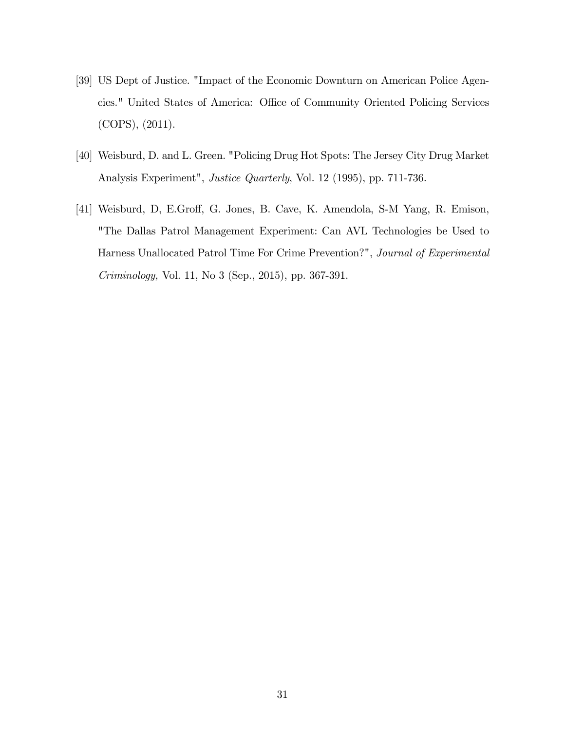- [39] US Dept of Justice. "Impact of the Economic Downturn on American Police Agencies." United States of America: Office of Community Oriented Policing Services (COPS), (2011).
- [40] Weisburd, D. and L. Green. "Policing Drug Hot Spots: The Jersey City Drug Market Analysis Experiment", Justice Quarterly, Vol. 12 (1995), pp. 711-736.
- [41] Weisburd, D, E.Groff, G. Jones, B. Cave, K. Amendola, S-M Yang, R. Emison, "The Dallas Patrol Management Experiment: Can AVL Technologies be Used to Harness Unallocated Patrol Time For Crime Prevention?", Journal of Experimental Criminology, Vol. 11, No 3 (Sep., 2015), pp. 367-391.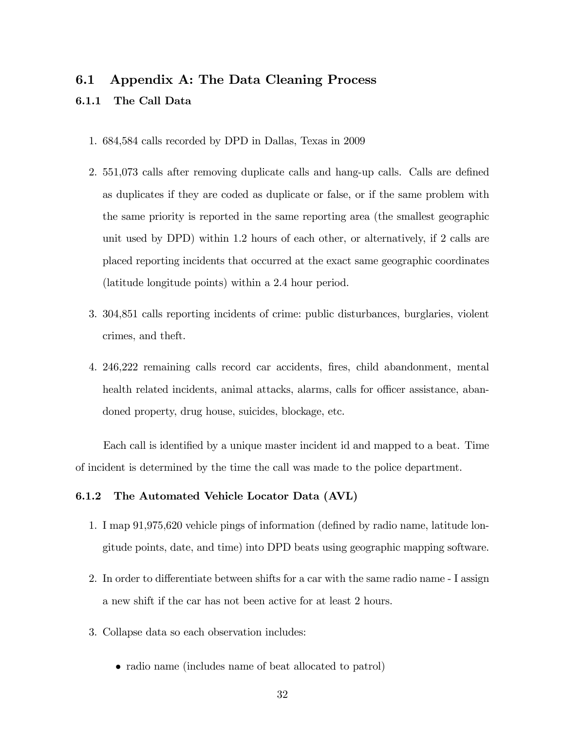### 6.1 Appendix A: The Data Cleaning Process

#### 6.1.1 The Call Data

- 1. 684,584 calls recorded by DPD in Dallas, Texas in 2009
- 2. 551,073 calls after removing duplicate calls and hang-up calls. Calls are defined as duplicates if they are coded as duplicate or false, or if the same problem with the same priority is reported in the same reporting area (the smallest geographic unit used by DPD) within 1.2 hours of each other, or alternatively, if 2 calls are placed reporting incidents that occurred at the exact same geographic coordinates (latitude longitude points) within a 2.4 hour period.
- 3. 304,851 calls reporting incidents of crime: public disturbances, burglaries, violent crimes, and theft.
- 4. 246,222 remaining calls record car accidents, Öres, child abandonment, mental health related incidents, animal attacks, alarms, calls for officer assistance, abandoned property, drug house, suicides, blockage, etc.

Each call is identified by a unique master incident id and mapped to a beat. Time of incident is determined by the time the call was made to the police department.

#### 6.1.2 The Automated Vehicle Locator Data (AVL)

- 1. I map 91,975,620 vehicle pings of information (defined by radio name, latitude longitude points, date, and time) into DPD beats using geographic mapping software.
- 2. In order to differentiate between shifts for a car with the same radio name I assign a new shift if the car has not been active for at least 2 hours.
- 3. Collapse data so each observation includes:
	- radio name (includes name of beat allocated to patrol)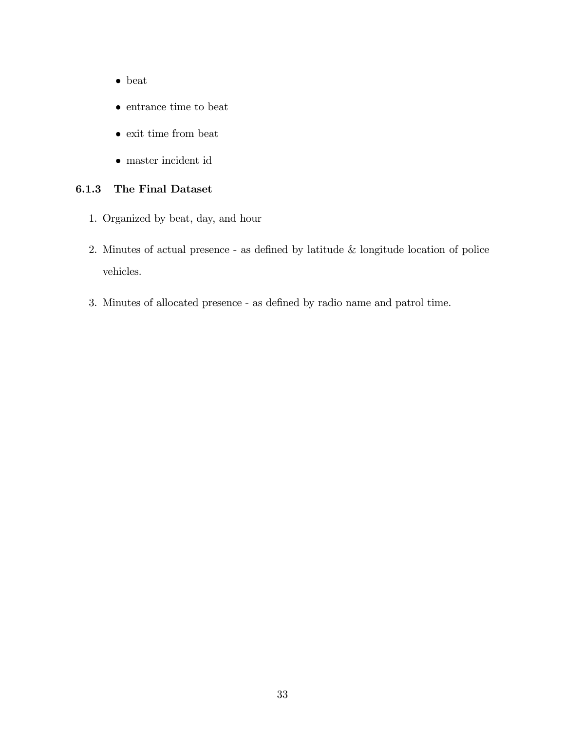- beat
- $\bullet\,$  entrance time to beat
- exit time from beat
- master incident id

#### 6.1.3 The Final Dataset

- 1. Organized by beat, day, and hour
- 2. Minutes of actual presence as defined by latitude  $\&$  longitude location of police vehicles.
- 3. Minutes of allocated presence as defined by radio name and patrol time.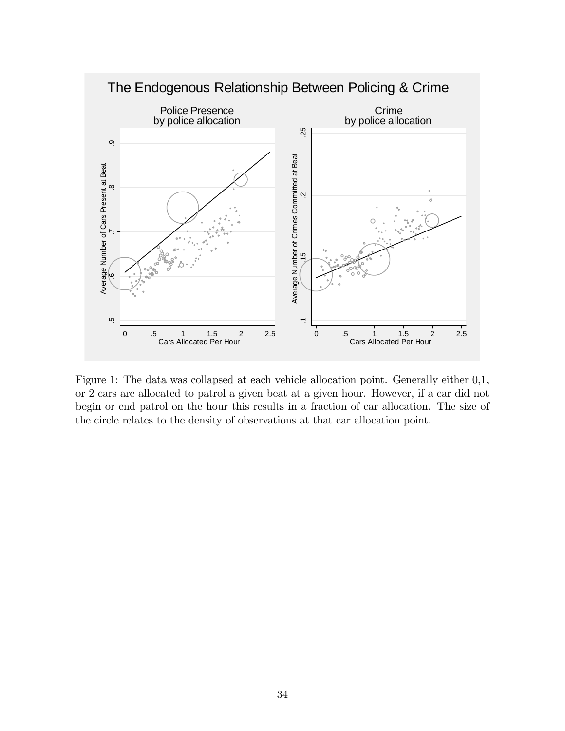

Figure 1: The data was collapsed at each vehicle allocation point. Generally either 0,1, or 2 cars are allocated to patrol a given beat at a given hour. However, if a car did not begin or end patrol on the hour this results in a fraction of car allocation. The size of the circle relates to the density of observations at that car allocation point.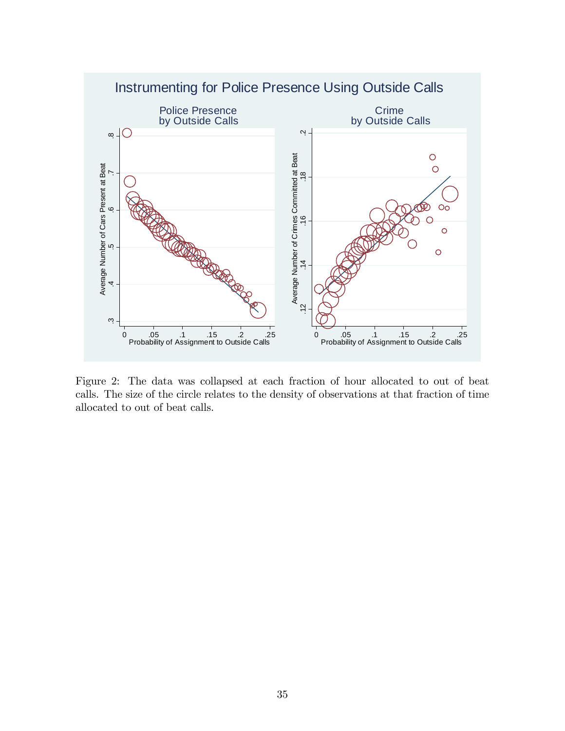

Figure 2: The data was collapsed at each fraction of hour allocated to out of beat calls. The size of the circle relates to the density of observations at that fraction of time allocated to out of beat calls.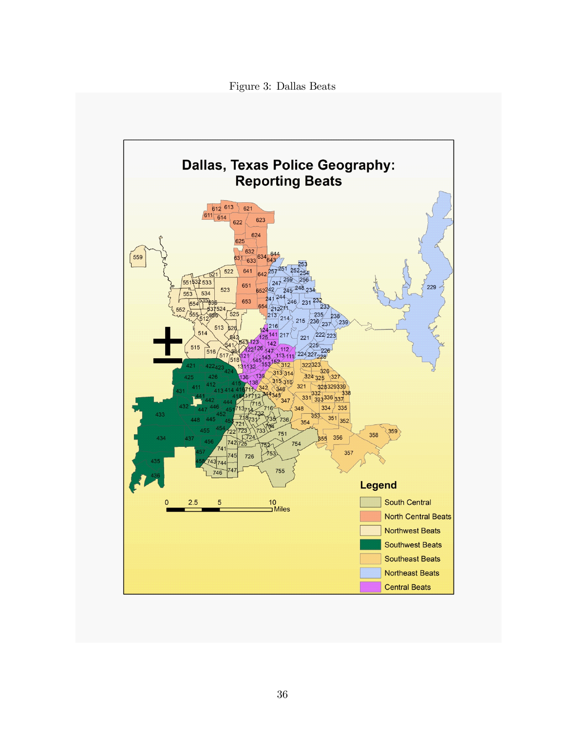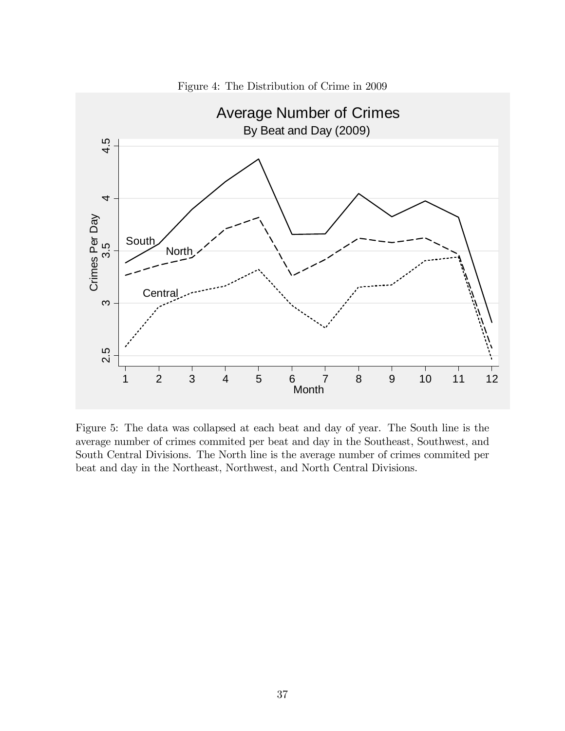

Figure 4: The Distribution of Crime in 2009

Figure 5: The data was collapsed at each beat and day of year. The South line is the average number of crimes commited per beat and day in the Southeast, Southwest, and South Central Divisions. The North line is the average number of crimes commited per beat and day in the Northeast, Northwest, and North Central Divisions.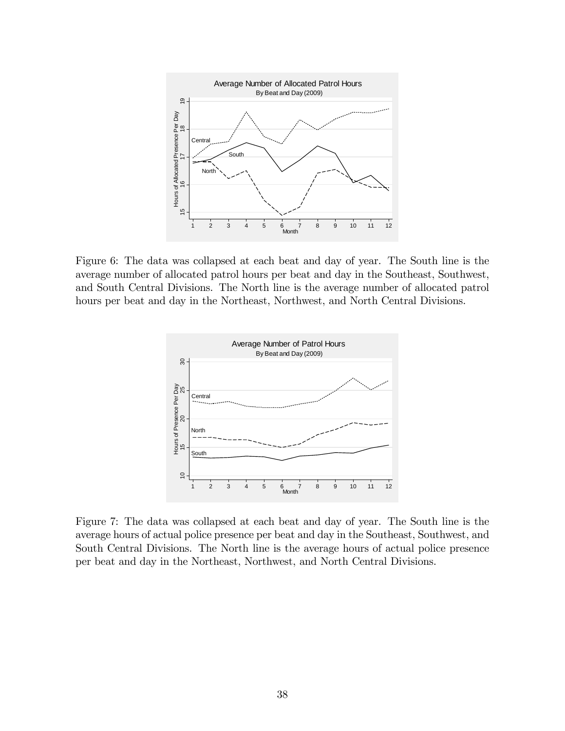

Figure 6: The data was collapsed at each beat and day of year. The South line is the average number of allocated patrol hours per beat and day in the Southeast, Southwest, and South Central Divisions. The North line is the average number of allocated patrol hours per beat and day in the Northeast, Northwest, and North Central Divisions.



Figure 7: The data was collapsed at each beat and day of year. The South line is the average hours of actual police presence per beat and day in the Southeast, Southwest, and South Central Divisions. The North line is the average hours of actual police presence per beat and day in the Northeast, Northwest, and North Central Divisions.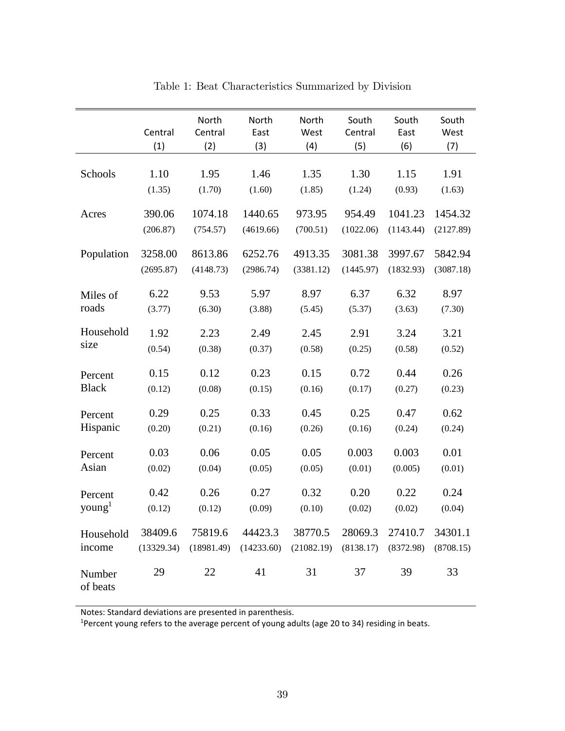|                    | Central<br>(1) | North<br>Central<br>(2) | North<br>East<br>(3) | North<br>West<br>(4) | South<br>Central<br>(5) | South<br>East<br>(6) | South<br>West<br>(7) |
|--------------------|----------------|-------------------------|----------------------|----------------------|-------------------------|----------------------|----------------------|
| Schools            | 1.10           | 1.95                    | 1.46                 | 1.35                 | 1.30                    | 1.15                 | 1.91                 |
|                    | (1.35)         | (1.70)                  | (1.60)               | (1.85)               | (1.24)                  | (0.93)               | (1.63)               |
| Acres              | 390.06         | 1074.18                 | 1440.65              | 973.95               | 954.49                  | 1041.23              | 1454.32              |
|                    | (206.87)       | (754.57)                | (4619.66)            | (700.51)             | (1022.06)               | (1143.44)            | (2127.89)            |
| Population         | 3258.00        | 8613.86                 | 6252.76              | 4913.35              | 3081.38                 | 3997.67              | 5842.94              |
|                    | (2695.87)      | (4148.73)               | (2986.74)            | (3381.12)            | (1445.97)               | (1832.93)            | (3087.18)            |
| Miles of           | 6.22           | 9.53                    | 5.97                 | 8.97                 | 6.37                    | 6.32                 | 8.97                 |
| roads              | (3.77)         | (6.30)                  | (3.88)               | (5.45)               | (5.37)                  | (3.63)               | (7.30)               |
| Household          | 1.92           | 2.23                    | 2.49                 | 2.45                 | 2.91                    | 3.24                 | 3.21                 |
| size               | (0.54)         | (0.38)                  | (0.37)               | (0.58)               | (0.25)                  | (0.58)               | (0.52)               |
| Percent            | 0.15           | 0.12                    | 0.23                 | 0.15                 | 0.72                    | 0.44                 | 0.26                 |
| <b>Black</b>       | (0.12)         | (0.08)                  | (0.15)               | (0.16)               | (0.17)                  | (0.27)               | (0.23)               |
| Percent            | 0.29           | 0.25                    | 0.33                 | 0.45                 | 0.25                    | 0.47                 | 0.62                 |
| Hispanic           | (0.20)         | (0.21)                  | (0.16)               | (0.26)               | (0.16)                  | (0.24)               | (0.24)               |
| Percent            | 0.03           | 0.06                    | 0.05                 | 0.05                 | 0.003                   | 0.003                | 0.01                 |
| Asian              | (0.02)         | (0.04)                  | (0.05)               | (0.05)               | (0.01)                  | (0.005)              | (0.01)               |
| Percent            | 0.42           | 0.26                    | 0.27                 | 0.32                 | 0.20                    | 0.22                 | 0.24                 |
| young <sup>1</sup> | (0.12)         | (0.12)                  | (0.09)               | (0.10)               | (0.02)                  | (0.02)               | (0.04)               |
| Household          | 38409.6        | 75819.6                 | 44423.3              | 38770.5              | 28069.3                 | 27410.7              | 34301.1              |
| income             | (13329.34)     | (18981.49)              | (14233.60)           | (21082.19)           | (8138.17)               | (8372.98)            | (8708.15)            |
| Number<br>of beats | 29             | 22                      | 41                   | 31                   | 37                      | 39                   | 33                   |

Table 1: Beat Characteristics Summarized by Division

Notes: Standard deviations are presented in parenthesis.

<sup>1</sup>Percent young refers to the average percent of young adults (age 20 to 34) residing in beats.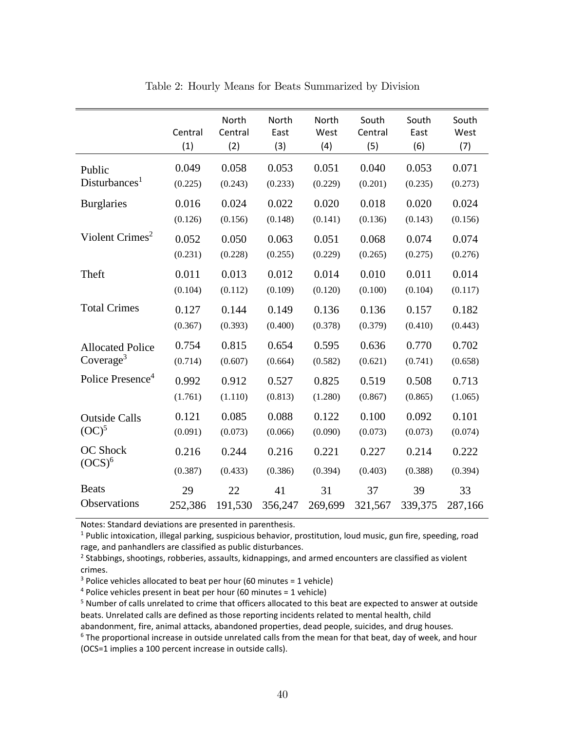|                              | Central<br>(1) | North<br>Central<br>(2) | North<br>East<br>(3) | North<br>West<br>(4) | South<br>Central<br>(5) | South<br>East<br>(6) | South<br>West<br>(7) |
|------------------------------|----------------|-------------------------|----------------------|----------------------|-------------------------|----------------------|----------------------|
| Public                       | 0.049          | 0.058                   | 0.053                | 0.051                | 0.040                   | 0.053                | 0.071                |
| Disturbances <sup>1</sup>    | (0.225)        | (0.243)                 | (0.233)              | (0.229)              | (0.201)                 | (0.235)              | (0.273)              |
| <b>Burglaries</b>            | 0.016          | 0.024                   | 0.022                | 0.020                | 0.018                   | 0.020                | 0.024                |
|                              | (0.126)        | (0.156)                 | (0.148)              | (0.141)              | (0.136)                 | (0.143)              | (0.156)              |
| Violent Crimes <sup>2</sup>  | 0.052          | 0.050                   | 0.063                | 0.051                | 0.068                   | 0.074                | 0.074                |
|                              | (0.231)        | (0.228)                 | (0.255)              | (0.229)              | (0.265)                 | (0.275)              | (0.276)              |
| Theft                        | 0.011          | 0.013                   | 0.012                | 0.014                | 0.010                   | 0.011                | 0.014                |
|                              | (0.104)        | (0.112)                 | (0.109)              | (0.120)              | (0.100)                 | (0.104)              | (0.117)              |
| <b>Total Crimes</b>          | 0.127          | 0.144                   | 0.149                | 0.136                | 0.136                   | 0.157                | 0.182                |
|                              | (0.367)        | (0.393)                 | (0.400)              | (0.378)              | (0.379)                 | (0.410)              | (0.443)              |
| <b>Allocated Police</b>      | 0.754          | 0.815                   | 0.654                | 0.595                | 0.636                   | 0.770                | 0.702                |
| Coverage <sup>3</sup>        | (0.714)        | (0.607)                 | (0.664)              | (0.582)              | (0.621)                 | (0.741)              | (0.658)              |
| Police Presence <sup>4</sup> | 0.992          | 0.912                   | 0.527                | 0.825                | 0.519                   | 0.508                | 0.713                |
|                              | (1.761)        | (1.110)                 | (0.813)              | (1.280)              | (0.867)                 | (0.865)              | (1.065)              |
| <b>Outside Calls</b>         | 0.121          | 0.085                   | 0.088                | 0.122                | 0.100                   | 0.092                | 0.101                |
| $(OC)^5$                     | (0.091)        | (0.073)                 | (0.066)              | (0.090)              | (0.073)                 | (0.073)              | (0.074)              |
| <b>OC</b> Shock              | 0.216          | 0.244                   | 0.216                | 0.221                | 0.227                   | 0.214                | 0.222                |
| (OCS) <sup>6</sup>           | (0.387)        | (0.433)                 | (0.386)              | (0.394)              | (0.403)                 | (0.388)              | (0.394)              |
| <b>Beats</b>                 | 29             | 22                      | 41                   | 31                   | 37                      | 39                   | 33                   |
| Observations                 | 252,386        | 191,530                 | 356,247              | 269,699              | 321,567                 | 339,375              | 287,166              |

Table 2: Hourly Means for Beats Summarized by Division

Notes: Standard deviations are presented in parenthesis.

 $1$  Public intoxication, illegal parking, suspicious behavior, prostitution, loud music, gun fire, speeding, road rage, and panhandlers are classified as public disturbances.

<sup>2</sup> Stabbings, shootings, robberies, assaults, kidnappings, and armed encounters are classified as violent crimes.

 $3$  Police vehicles allocated to beat per hour (60 minutes = 1 vehicle)

 $4$  Police vehicles present in beat per hour (60 minutes = 1 vehicle)

<sup>5</sup> Number of calls unrelated to crime that officers allocated to this beat are expected to answer at outside beats. Unrelated calls are defined as those reporting incidents related to mental health, child

abandonment, fire, animal attacks, abandoned properties, dead people, suicides, and drug houses.

 $6$  The proportional increase in outside unrelated calls from the mean for that beat, day of week, and hour (OCS=1 implies a 100 percent increase in outside calls).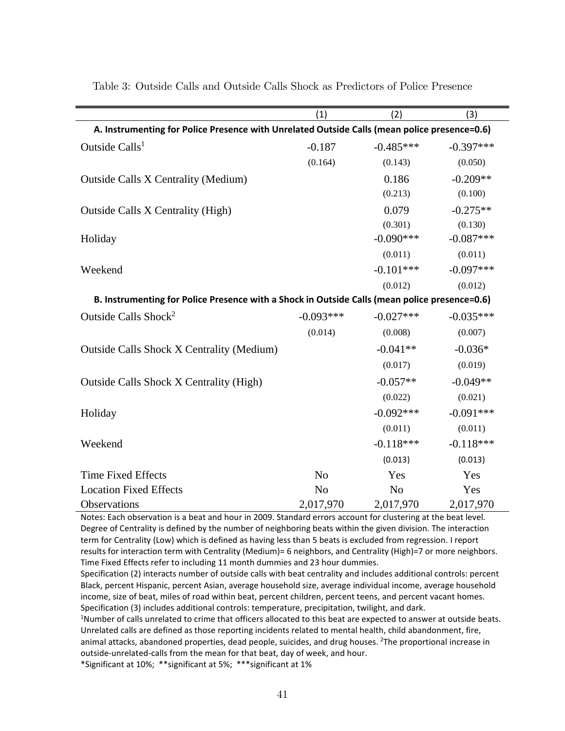|                                                                                               | (1)            | (2)            | (3)         |
|-----------------------------------------------------------------------------------------------|----------------|----------------|-------------|
| A. Instrumenting for Police Presence with Unrelated Outside Calls (mean police presence=0.6)  |                |                |             |
| Outside Calls <sup>1</sup>                                                                    | $-0.187$       | $-0.485***$    | $-0.397***$ |
|                                                                                               | (0.164)        | (0.143)        | (0.050)     |
| <b>Outside Calls X Centrality (Medium)</b>                                                    |                | 0.186          | $-0.209**$  |
|                                                                                               |                | (0.213)        | (0.100)     |
| <b>Outside Calls X Centrality (High)</b>                                                      |                | 0.079          | $-0.275**$  |
|                                                                                               |                | (0.301)        | (0.130)     |
| Holiday                                                                                       |                | $-0.090***$    | $-0.087***$ |
|                                                                                               |                | (0.011)        | (0.011)     |
| Weekend                                                                                       |                | $-0.101***$    | $-0.097***$ |
|                                                                                               |                | (0.012)        | (0.012)     |
| B. Instrumenting for Police Presence with a Shock in Outside Calls (mean police presence=0.6) |                |                |             |
| Outside Calls Shock <sup>2</sup>                                                              | $-0.093***$    | $-0.027***$    | $-0.035***$ |
|                                                                                               | (0.014)        | (0.008)        | (0.007)     |
| <b>Outside Calls Shock X Centrality (Medium)</b>                                              |                | $-0.041**$     | $-0.036*$   |
|                                                                                               |                | (0.017)        | (0.019)     |
| <b>Outside Calls Shock X Centrality (High)</b>                                                |                | $-0.057**$     | $-0.049**$  |
|                                                                                               |                | (0.022)        | (0.021)     |
| Holiday                                                                                       |                | $-0.092***$    | $-0.091***$ |
|                                                                                               |                | (0.011)        | (0.011)     |
| Weekend                                                                                       |                | $-0.118***$    | $-0.118***$ |
|                                                                                               |                | (0.013)        | (0.013)     |
| <b>Time Fixed Effects</b>                                                                     | N <sub>o</sub> | Yes            | Yes         |
| <b>Location Fixed Effects</b>                                                                 | N <sub>o</sub> | N <sub>o</sub> | Yes         |
| Observations                                                                                  | 2,017,970      | 2,017,970      | 2,017,970   |

Table 3: Outside Calls and Outside Calls Shock as Predictors of Police Presence

Notes: Each observation is a beat and hour in 2009. Standard errors account for clustering at the beat level. Degree of Centrality is defined by the number of neighboring beats within the given division. The interaction term for Centrality (Low) which is defined as having less than 5 beats is excluded from regression. I report results for interaction term with Centrality (Medium)= 6 neighbors, and Centrality (High)=7 or more neighbors. Time Fixed Effects refer to including 11 month dummies and 23 hour dummies.

Specification (2) interacts number of outside calls with beat centrality and includes additional controls: percent Black, percent Hispanic, percent Asian, average household size, average individual income, average household income, size of beat, miles of road within beat, percent children, percent teens, and percent vacant homes. Specification (3) includes additional controls: temperature, precipitation, twilight, and dark.

<sup>1</sup>Number of calls unrelated to crime that officers allocated to this beat are expected to answer at outside beats. Unrelated calls are defined as those reporting incidents related to mental health, child abandonment, fire, animal attacks, abandoned properties, dead people, suicides, and drug houses. <sup>2</sup>The proportional increase in outside-unrelated-calls from the mean for that beat, day of week, and hour.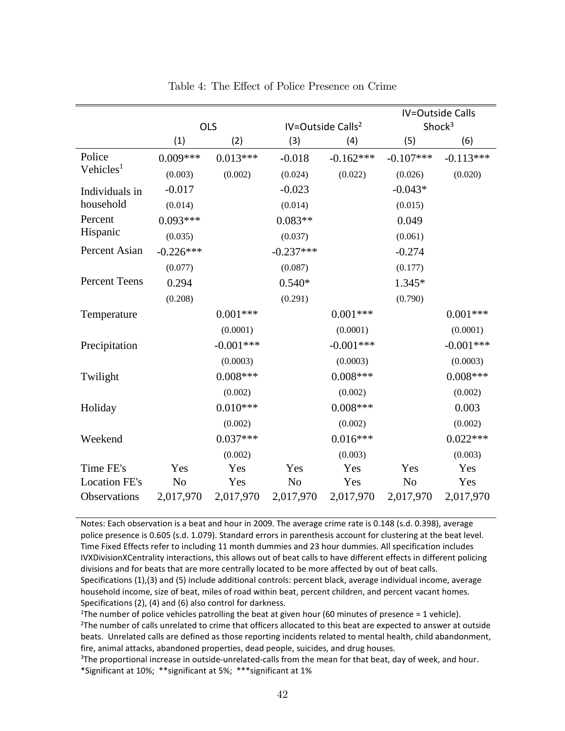|                       |                |             |                | <b>IV=Outside Calls</b>           |                    |             |
|-----------------------|----------------|-------------|----------------|-----------------------------------|--------------------|-------------|
|                       | OLS            |             |                | $IV = Outside$ Calls <sup>2</sup> | Shock <sup>3</sup> |             |
|                       | (1)            | (2)         | (3)            | (4)                               | (5)                | (6)         |
| Police                | $0.009***$     | $0.013***$  | $-0.018$       | $-0.162***$                       | $-0.107***$        | $-0.113***$ |
| Vehicles <sup>1</sup> | (0.003)        | (0.002)     | (0.024)        | (0.022)                           | (0.026)            | (0.020)     |
| Individuals in        | $-0.017$       |             | $-0.023$       |                                   | $-0.043*$          |             |
| household             | (0.014)        |             | (0.014)        |                                   | (0.015)            |             |
| Percent               | $0.093***$     |             | $0.083**$      |                                   | 0.049              |             |
| Hispanic              | (0.035)        |             | (0.037)        |                                   | (0.061)            |             |
| Percent Asian         | $-0.226***$    |             | $-0.237***$    |                                   | $-0.274$           |             |
|                       | (0.077)        |             | (0.087)        |                                   | (0.177)            |             |
| <b>Percent Teens</b>  | 0.294          |             | $0.540*$       |                                   | 1.345*             |             |
|                       | (0.208)        |             | (0.291)        |                                   | (0.790)            |             |
| Temperature           |                | $0.001***$  |                | $0.001***$                        |                    | $0.001***$  |
|                       |                | (0.0001)    |                | (0.0001)                          |                    | (0.0001)    |
| Precipitation         |                | $-0.001***$ |                | $-0.001***$                       |                    | $-0.001***$ |
|                       |                | (0.0003)    |                | (0.0003)                          |                    | (0.0003)    |
| Twilight              |                | $0.008***$  |                | $0.008***$                        |                    | $0.008***$  |
|                       |                | (0.002)     |                | (0.002)                           |                    | (0.002)     |
| Holiday               |                | $0.010***$  |                | $0.008***$                        |                    | 0.003       |
|                       |                | (0.002)     |                | (0.002)                           |                    | (0.002)     |
| Weekend               |                | $0.037***$  |                | $0.016***$                        |                    | $0.022***$  |
|                       |                | (0.002)     |                | (0.003)                           |                    | (0.003)     |
| Time FE's             | Yes            | Yes         | Yes            | Yes                               | Yes                | Yes         |
| <b>Location FE's</b>  | N <sub>o</sub> | Yes         | N <sub>o</sub> | Yes                               | N <sub>0</sub>     | Yes         |
| Observations          | 2,017,970      | 2,017,970   | 2,017,970      | 2,017,970                         | 2,017,970          | 2,017,970   |

Table 4: The Effect of Police Presence on Crime

Notes: Each observation is a beat and hour in 2009. The average crime rate is 0.148 (s.d. 0.398), average police presence is 0.605 (s.d. 1.079). Standard errors in parenthesis account for clustering at the beat level. Time Fixed Effects refer to including 11 month dummies and 23 hour dummies. All specification includes IVXDivisionXCentrality interactions, this allows out of beat calls to have different effects in different policing divisions and for beats that are more centrally located to be more affected by out of beat calls. Specifications (1),(3) and (5) include additional controls: percent black, average individual income, average

household income, size of beat, miles of road within beat, percent children, and percent vacant homes. Specifications (2), (4) and (6) also control for darkness.

<sup>1</sup>The number of police vehicles patrolling the beat at given hour (60 minutes of presence = 1 vehicle). <sup>2</sup>The number of calls unrelated to crime that officers allocated to this beat are expected to answer at outside beats. Unrelated calls are defined as those reporting incidents related to mental health, child abandonment, fire, animal attacks, abandoned properties, dead people, suicides, and drug houses.

<sup>3</sup>The proportional increase in outside-unrelated-calls from the mean for that beat, day of week, and hour. \*Significant at 10%; \*\*significant at 5%; \*\*\*significant at 1%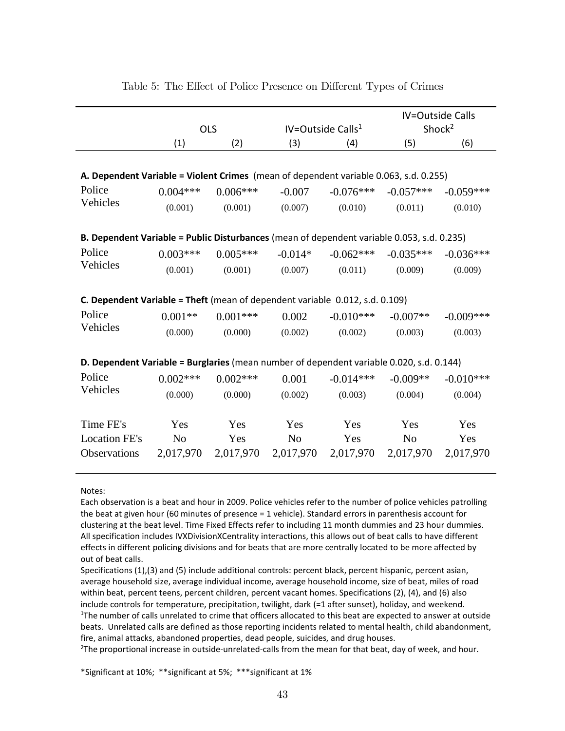|                                                                                            |                |            |                | IV=Outside Calls              |                    |              |
|--------------------------------------------------------------------------------------------|----------------|------------|----------------|-------------------------------|--------------------|--------------|
|                                                                                            |                | <b>OLS</b> |                | IV=Outside Calls <sup>1</sup> | Shock <sup>2</sup> |              |
|                                                                                            | (1)            | (2)        | (3)            | (4)                           | (5)                | (6)          |
|                                                                                            |                |            |                |                               |                    |              |
| A. Dependent Variable = Violent Crimes (mean of dependent variable 0.063, s.d. 0.255)      |                |            |                |                               |                    |              |
| Police                                                                                     | $0.004***$     | $0.006***$ | $-0.007$       | $-0.076***$                   | $-0.057***$        | $-0.059***$  |
| Vehicles                                                                                   | (0.001)        | (0.001)    | (0.007)        | (0.010)                       | (0.011)            | (0.010)      |
| B. Dependent Variable = Public Disturbances (mean of dependent variable 0.053, s.d. 0.235) |                |            |                |                               |                    |              |
| Police                                                                                     | $0.003***$     | $0.005***$ | $-0.014*$      | $-0.062***$                   | $-0.035***$        | $-0.036***$  |
| Vehicles                                                                                   | (0.001)        | (0.001)    | (0.007)        | (0.011)                       | (0.009)            | (0.009)      |
| <b>C. Dependent Variable = Theft</b> (mean of dependent variable 0.012, s.d. 0.109)        |                |            |                |                               |                    |              |
| Police                                                                                     | $0.001**$      | $0.001***$ | 0.002          | $-0.010***$                   | $-0.007**$         | $-0.009$ *** |
| Vehicles                                                                                   | (0.000)        | (0.000)    | (0.002)        | (0.002)                       | (0.003)            | (0.003)      |
| D. Dependent Variable = Burglaries (mean number of dependent variable 0.020, s.d. 0.144)   |                |            |                |                               |                    |              |
| Police                                                                                     | $0.002***$     | $0.002***$ | 0.001          | $-0.014***$                   | $-0.009**$         | $-0.010***$  |
| Vehicles                                                                                   | (0.000)        | (0.000)    | (0.002)        | (0.003)                       | (0.004)            | (0.004)      |
| Time FE's                                                                                  | Yes            | Yes        | Yes            | Yes                           | Yes                | Yes          |
| <b>Location FE's</b>                                                                       | N <sub>o</sub> | Yes        | N <sub>o</sub> | Yes                           | N <sub>o</sub>     | Yes          |
| Observations                                                                               | 2,017,970      | 2,017,970  | 2,017,970      | 2,017,970                     | 2,017,970          | 2,017,970    |

#### Table 5: The Effect of Police Presence on Different Types of Crimes

Notes:

Each observation is a beat and hour in 2009. Police vehicles refer to the number of police vehicles patrolling the beat at given hour (60 minutes of presence = 1 vehicle). Standard errors in parenthesis account for clustering at the beat level. Time Fixed Effects refer to including 11 month dummies and 23 hour dummies. All specification includes IVXDivisionXCentrality interactions, this allows out of beat calls to have different effects in different policing divisions and for beats that are more centrally located to be more affected by out of beat calls.

Specifications (1),(3) and (5) include additional controls: percent black, percent hispanic, percent asian, average household size, average individual income, average household income, size of beat, miles of road within beat, percent teens, percent children, percent vacant homes. Specifications (2), (4), and (6) also include controls for temperature, precipitation, twilight, dark (=1 after sunset), holiday, and weekend. <sup>1</sup>The number of calls unrelated to crime that officers allocated to this beat are expected to answer at outside beats. Unrelated calls are defined as those reporting incidents related to mental health, child abandonment, fire, animal attacks, abandoned properties, dead people, suicides, and drug houses.

<sup>2</sup>The proportional increase in outside-unrelated-calls from the mean for that beat, day of week, and hour.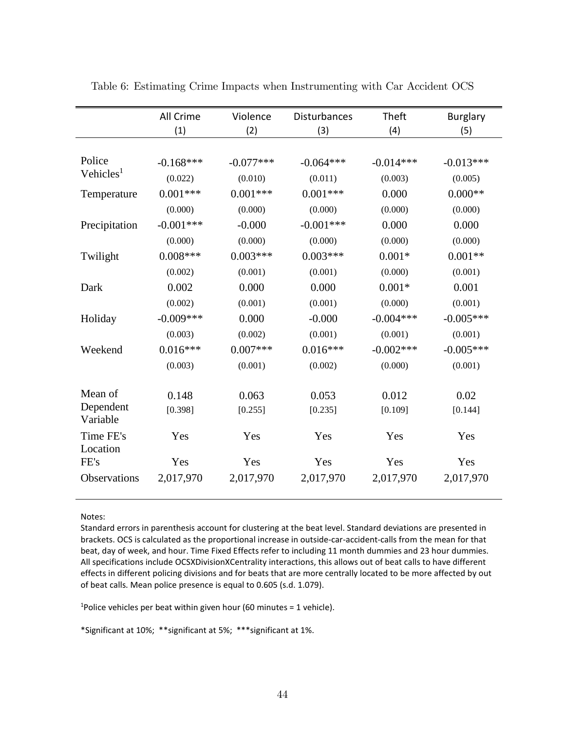|                       | All Crime<br>(1) | Violence<br>(2) | Disturbances<br>(3) | Theft<br>(4) | <b>Burglary</b><br>(5) |
|-----------------------|------------------|-----------------|---------------------|--------------|------------------------|
|                       |                  |                 |                     |              |                        |
| Police                | $-0.168***$      | $-0.077***$     | $-0.064***$         | $-0.014***$  | $-0.013***$            |
| Vehicles <sup>1</sup> | (0.022)          | (0.010)         | (0.011)             | (0.003)      | (0.005)                |
| Temperature           | $0.001***$       | $0.001***$      | $0.001***$          | 0.000        | $0.000**$              |
|                       | (0.000)          | (0.000)         | (0.000)             | (0.000)      | (0.000)                |
| Precipitation         | $-0.001***$      | $-0.000$        | $-0.001***$         | 0.000        | 0.000                  |
|                       | (0.000)          | (0.000)         | (0.000)             | (0.000)      | (0.000)                |
| Twilight              | $0.008***$       | $0.003***$      | $0.003***$          | $0.001*$     | $0.001**$              |
|                       | (0.002)          | (0.001)         | (0.001)             | (0.000)      | (0.001)                |
| Dark                  | 0.002            | 0.000           | 0.000               | $0.001*$     | 0.001                  |
|                       | (0.002)          | (0.001)         | (0.001)             | (0.000)      | (0.001)                |
| Holiday               | $-0.009***$      | 0.000           | $-0.000$            | $-0.004***$  | $-0.005***$            |
|                       | (0.003)          | (0.002)         | (0.001)             | (0.001)      | (0.001)                |
| Weekend               | $0.016***$       | $0.007***$      | $0.016***$          | $-0.002$ *** | $-0.005***$            |
|                       | (0.003)          | (0.001)         | (0.002)             | (0.000)      | (0.001)                |
|                       |                  |                 |                     |              |                        |
| Mean of               | 0.148            | 0.063           | 0.053               | 0.012        | 0.02                   |
| Dependent<br>Variable | [0.398]          | [0.255]         | [0.235]             | [0.109]      | [0.144]                |
| Time FE's<br>Location | Yes              | Yes             | Yes                 | Yes          | Yes                    |
| FE's                  | Yes              | Yes             | Yes                 | Yes          | Yes                    |
| Observations          | 2,017,970        | 2,017,970       | 2,017,970           | 2,017,970    | 2,017,970              |

Table 6: Estimating Crime Impacts when Instrumenting with Car Accident OCS

Standard errors in parenthesis account for clustering at the beat level. Standard deviations are presented in brackets. OCS is calculated as the proportional increase in outside-car-accident-calls from the mean for that beat, day of week, and hour. Time Fixed Effects refer to including 11 month dummies and 23 hour dummies. All specifications include OCSXDivisionXCentrality interactions, this allows out of beat calls to have different effects in different policing divisions and for beats that are more centrally located to be more affected by out of beat calls. Mean police presence is equal to 0.605 (s.d. 1.079).

<sup>1</sup>Police vehicles per beat within given hour (60 minutes = 1 vehicle).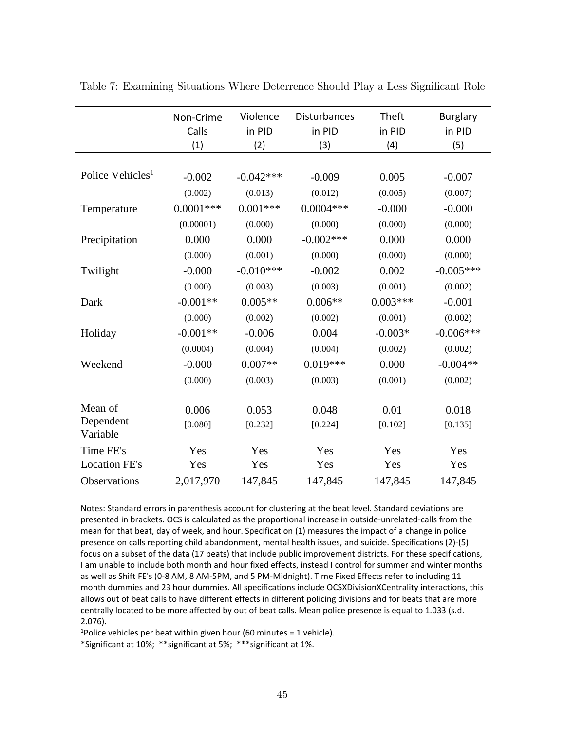|                              | Non-Crime<br>Calls | Violence<br>in PID | <b>Disturbances</b><br>in PID | Theft<br>in PID | <b>Burglary</b><br>in PID |
|------------------------------|--------------------|--------------------|-------------------------------|-----------------|---------------------------|
|                              | (1)                | (2)                | (3)                           | (4)             | (5)                       |
|                              |                    |                    |                               |                 |                           |
| Police Vehicles <sup>1</sup> | $-0.002$           | $-0.042***$        | $-0.009$                      | 0.005           | $-0.007$                  |
|                              | (0.002)            | (0.013)            | (0.012)                       | (0.005)         | (0.007)                   |
| Temperature                  | $0.0001$ ***       | $0.001***$         | $0.0004***$                   | $-0.000$        | $-0.000$                  |
|                              | (0.00001)          | (0.000)            | (0.000)                       | (0.000)         | (0.000)                   |
| Precipitation                | 0.000              | 0.000              | $-0.002$ ***                  | 0.000           | 0.000                     |
|                              | (0.000)            | (0.001)            | (0.000)                       | (0.000)         | (0.000)                   |
| Twilight                     | $-0.000$           | $-0.010***$        | $-0.002$                      | 0.002           | $-0.005***$               |
|                              | (0.000)            | (0.003)            | (0.003)                       | (0.001)         | (0.002)                   |
| Dark                         | $-0.001**$         | $0.005**$          | $0.006**$                     | $0.003***$      | $-0.001$                  |
|                              | (0.000)            | (0.002)            | (0.002)                       | (0.001)         | (0.002)                   |
| Holiday                      | $-0.001**$         | $-0.006$           | 0.004                         | $-0.003*$       | $-0.006***$               |
|                              | (0.0004)           | (0.004)            | (0.004)                       | (0.002)         | (0.002)                   |
| Weekend                      | $-0.000$           | $0.007**$          | $0.019***$                    | 0.000           | $-0.004**$                |
|                              | (0.000)            | (0.003)            | (0.003)                       | (0.001)         | (0.002)                   |
|                              |                    |                    |                               |                 |                           |
| Mean of                      | 0.006              | 0.053              | 0.048                         | 0.01            | 0.018                     |
| Dependent<br>Variable        | [0.080]            | [0.232]            | [0.224]                       | [0.102]         | [0.135]                   |
| Time FE's                    | Yes                | Yes                | Yes                           | Yes             | Yes                       |
| <b>Location FE's</b>         | Yes                | Yes                | Yes                           | Yes             | Yes                       |
| Observations                 | 2,017,970          | 147,845            | 147,845                       | 147,845         | 147,845                   |

Table 7: Examining Situations Where Deterrence Should Play a Less Significant Role

Notes: Standard errors in parenthesis account for clustering at the beat level. Standard deviations are presented in brackets. OCS is calculated as the proportional increase in outside-unrelated-calls from the mean for that beat, day of week, and hour. Specification (1) measures the impact of a change in police presence on calls reporting child abandonment, mental health issues, and suicide. Specifications (2)-(5) focus on a subset of the data (17 beats) that include public improvement districts. For these specifications, I am unable to include both month and hour fixed effects, instead I control for summer and winter months as well as Shift FE's (0-8 AM, 8 AM-5PM, and 5 PM-Midnight). Time Fixed Effects refer to including 11 month dummies and 23 hour dummies. All specifications include OCSXDivisionXCentrality interactions, this allows out of beat calls to have different effects in different policing divisions and for beats that are more centrally located to be more affected by out of beat calls. Mean police presence is equal to 1.033 (s.d. 2.076).

<sup>1</sup>Police vehicles per beat within given hour (60 minutes = 1 vehicle).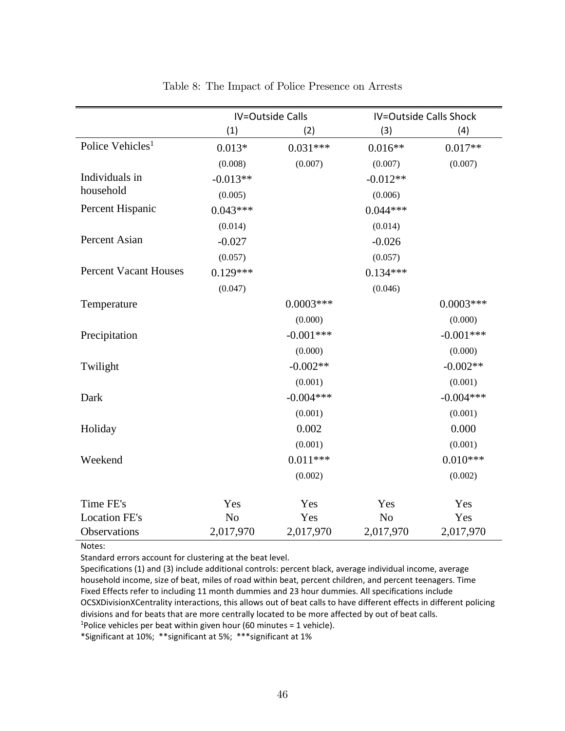|                              | <b>IV=Outside Calls</b> |             | IV=Outside Calls Shock |             |  |
|------------------------------|-------------------------|-------------|------------------------|-------------|--|
|                              | (1)                     | (2)         | (3)                    | (4)         |  |
| Police Vehicles <sup>1</sup> | $0.013*$                | $0.031***$  | $0.016**$              | $0.017**$   |  |
|                              | (0.008)                 | (0.007)     | (0.007)                | (0.007)     |  |
| Individuals in               | $-0.013**$              |             | $-0.012**$             |             |  |
| household                    | (0.005)                 |             | (0.006)                |             |  |
| Percent Hispanic             | $0.043***$              |             | $0.044***$             |             |  |
|                              | (0.014)                 |             | (0.014)                |             |  |
| Percent Asian                | $-0.027$                |             | $-0.026$               |             |  |
|                              | (0.057)                 |             | (0.057)                |             |  |
| <b>Percent Vacant Houses</b> | $0.129***$              |             | $0.134***$             |             |  |
|                              | (0.047)                 |             | (0.046)                |             |  |
| Temperature                  |                         | $0.0003***$ |                        | $0.0003***$ |  |
|                              |                         | (0.000)     |                        | (0.000)     |  |
| Precipitation                |                         | $-0.001***$ |                        | $-0.001***$ |  |
|                              |                         | (0.000)     |                        | (0.000)     |  |
| Twilight                     |                         | $-0.002**$  |                        | $-0.002**$  |  |
|                              |                         | (0.001)     |                        | (0.001)     |  |
| Dark                         |                         | $-0.004***$ |                        | $-0.004***$ |  |
|                              |                         | (0.001)     |                        | (0.001)     |  |
| Holiday                      |                         | 0.002       |                        | 0.000       |  |
|                              |                         | (0.001)     |                        | (0.001)     |  |
| Weekend                      |                         | $0.011***$  |                        | $0.010***$  |  |
|                              |                         | (0.002)     |                        | (0.002)     |  |
| Time FE's                    | Yes                     | Yes         | Yes                    | Yes         |  |
| <b>Location FE's</b>         | N <sub>o</sub>          | Yes         | N <sub>o</sub>         | Yes         |  |
| Observations                 | 2,017,970               | 2,017,970   | 2,017,970              | 2,017,970   |  |

Table 8: The Impact of Police Presence on Arrests

Standard errors account for clustering at the beat level.

Specifications (1) and (3) include additional controls: percent black, average individual income, average household income, size of beat, miles of road within beat, percent children, and percent teenagers. Time Fixed Effects refer to including 11 month dummies and 23 hour dummies. All specifications include OCSXDivisionXCentrality interactions, this allows out of beat calls to have different effects in different policing divisions and for beats that are more centrally located to be more affected by out of beat calls.

<sup>1</sup>Police vehicles per beat within given hour (60 minutes = 1 vehicle).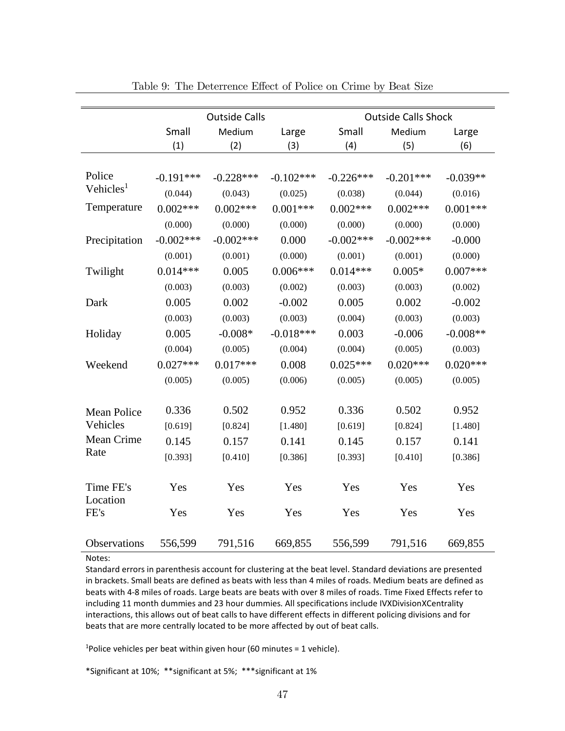|                       | <b>Outside Calls</b> |              |             | <b>Outside Calls Shock</b> |              |            |  |
|-----------------------|----------------------|--------------|-------------|----------------------------|--------------|------------|--|
|                       | Small                | Medium       | Large       | Small                      | Medium       | Large      |  |
|                       | (1)                  | (2)          | (3)         | (4)                        | (5)          | (6)        |  |
|                       |                      |              |             |                            |              |            |  |
| Police                | $-0.191***$          | $-0.228***$  | $-0.102***$ | $-0.226***$                | $-0.201***$  | $-0.039**$ |  |
| Vehicles <sup>1</sup> | (0.044)              | (0.043)      | (0.025)     | (0.038)                    | (0.044)      | (0.016)    |  |
| Temperature           | $0.002***$           | $0.002***$   | $0.001***$  | $0.002***$                 | $0.002***$   | $0.001***$ |  |
|                       | (0.000)              | (0.000)      | (0.000)     | (0.000)                    | (0.000)      | (0.000)    |  |
| Precipitation         | $-0.002$ ***         | $-0.002$ *** | 0.000       | $-0.002$ ***               | $-0.002$ *** | $-0.000$   |  |
|                       | (0.001)              | (0.001)      | (0.000)     | (0.001)                    | (0.001)      | (0.000)    |  |
| Twilight              | $0.014***$           | 0.005        | $0.006***$  | $0.014***$                 | $0.005*$     | $0.007***$ |  |
|                       | (0.003)              | (0.003)      | (0.002)     | (0.003)                    | (0.003)      | (0.002)    |  |
| Dark                  | 0.005                | 0.002        | $-0.002$    | 0.005                      | 0.002        | $-0.002$   |  |
|                       | (0.003)              | (0.003)      | (0.003)     | (0.004)                    | (0.003)      | (0.003)    |  |
| Holiday               | 0.005                | $-0.008*$    | $-0.018***$ | 0.003                      | $-0.006$     | $-0.008**$ |  |
|                       | (0.004)              | (0.005)      | (0.004)     | (0.004)                    | (0.005)      | (0.003)    |  |
| Weekend               | $0.027***$           | $0.017***$   | 0.008       | $0.025***$                 | $0.020***$   | $0.020***$ |  |
|                       | (0.005)              | (0.005)      | (0.006)     | (0.005)                    | (0.005)      | (0.005)    |  |
|                       |                      |              |             |                            |              |            |  |
| <b>Mean Police</b>    | 0.336                | 0.502        | 0.952       | 0.336                      | 0.502        | 0.952      |  |
| Vehicles              | [0.619]              | [0.824]      | [1.480]     | [0.619]                    | [0.824]      | [1.480]    |  |
| Mean Crime            | 0.145                | 0.157        | 0.141       | 0.145                      | 0.157        | 0.141      |  |
| Rate                  | [0.393]              | [0.410]      | [0.386]     | [0.393]                    | [0.410]      | [0.386]    |  |
|                       |                      |              |             |                            |              |            |  |
| Time FE's             | Yes                  | Yes          | Yes         | Yes                        | Yes          | Yes        |  |
| Location              |                      |              |             |                            |              |            |  |
| FE's                  | Yes                  | Yes          | Yes         | Yes                        | Yes          | Yes        |  |
|                       |                      |              |             |                            |              |            |  |
| Observations          | 556,599              | 791,516      | 669,855     | 556,599                    | 791,516      | 669,855    |  |

Table 9: The Deterrence Effect of Police on Crime by Beat Size

Standard errors in parenthesis account for clustering at the beat level. Standard deviations are presented in brackets. Small beats are defined as beats with less than 4 miles of roads. Medium beats are defined as beats with 4-8 miles of roads. Large beats are beats with over 8 miles of roads. Time Fixed Effects refer to including 11 month dummies and 23 hour dummies. All specifications include IVXDivisionXCentrality interactions, this allows out of beat calls to have different effects in different policing divisions and for beats that are more centrally located to be more affected by out of beat calls.

<sup>1</sup>Police vehicles per beat within given hour (60 minutes = 1 vehicle).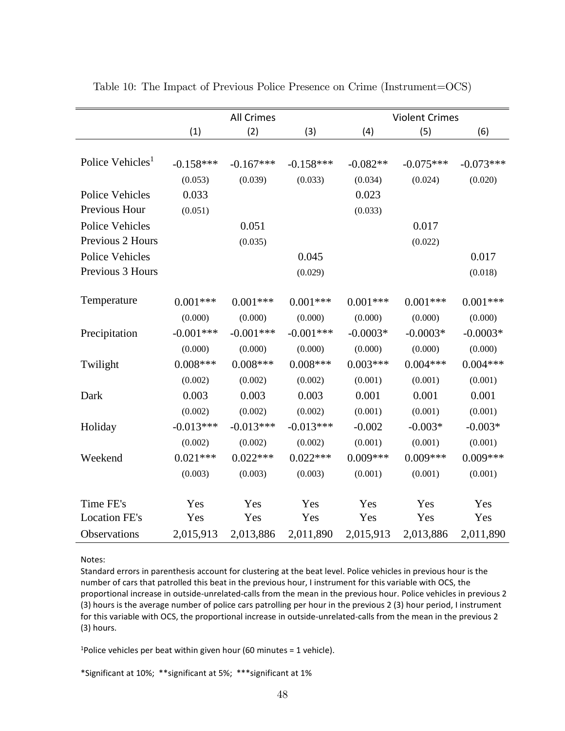|                              | <b>All Crimes</b> |             |             |            | <b>Violent Crimes</b> |             |  |  |
|------------------------------|-------------------|-------------|-------------|------------|-----------------------|-------------|--|--|
|                              | (1)               | (2)         | (3)         | (4)        | (5)                   | (6)         |  |  |
|                              |                   |             |             |            |                       |             |  |  |
| Police Vehicles <sup>1</sup> | $-0.158***$       | $-0.167***$ | $-0.158***$ | $-0.082**$ | $-0.075***$           | $-0.073***$ |  |  |
|                              | (0.053)           | (0.039)     | (0.033)     | (0.034)    | (0.024)               | (0.020)     |  |  |
| <b>Police Vehicles</b>       | 0.033             |             |             | 0.023      |                       |             |  |  |
| Previous Hour                | (0.051)           |             |             | (0.033)    |                       |             |  |  |
| <b>Police Vehicles</b>       |                   | 0.051       |             |            | 0.017                 |             |  |  |
| Previous 2 Hours             |                   | (0.035)     |             |            | (0.022)               |             |  |  |
| <b>Police Vehicles</b>       |                   |             | 0.045       |            |                       | 0.017       |  |  |
| Previous 3 Hours             |                   |             | (0.029)     |            |                       | (0.018)     |  |  |
|                              |                   |             |             |            |                       |             |  |  |
| Temperature                  | $0.001***$        | $0.001***$  | $0.001***$  | $0.001***$ | $0.001***$            | $0.001***$  |  |  |
|                              | (0.000)           | (0.000)     | (0.000)     | (0.000)    | (0.000)               | (0.000)     |  |  |
| Precipitation                | $-0.001***$       | $-0.001***$ | $-0.001***$ | $-0.0003*$ | $-0.0003*$            | $-0.0003*$  |  |  |
|                              | (0.000)           | (0.000)     | (0.000)     | (0.000)    | (0.000)               | (0.000)     |  |  |
| Twilight                     | $0.008***$        | $0.008***$  | $0.008***$  | $0.003***$ | $0.004***$            | $0.004***$  |  |  |
|                              | (0.002)           | (0.002)     | (0.002)     | (0.001)    | (0.001)               | (0.001)     |  |  |
| Dark                         | 0.003             | 0.003       | 0.003       | 0.001      | 0.001                 | 0.001       |  |  |
|                              | (0.002)           | (0.002)     | (0.002)     | (0.001)    | (0.001)               | (0.001)     |  |  |
| Holiday                      | $-0.013***$       | $-0.013***$ | $-0.013***$ | $-0.002$   | $-0.003*$             | $-0.003*$   |  |  |
|                              | (0.002)           | (0.002)     | (0.002)     | (0.001)    | (0.001)               | (0.001)     |  |  |
| Weekend                      | $0.021***$        | $0.022***$  | $0.022***$  | $0.009***$ | $0.009***$            | $0.009***$  |  |  |
|                              | (0.003)           | (0.003)     | (0.003)     | (0.001)    | (0.001)               | (0.001)     |  |  |
|                              |                   |             |             |            |                       |             |  |  |
| Time FE's                    | Yes               | Yes         | Yes         | Yes        | Yes                   | Yes         |  |  |
| <b>Location FE's</b>         | Yes               | Yes         | Yes         | Yes        | Yes                   | Yes         |  |  |
| Observations                 | 2,015,913         | 2,013,886   | 2,011,890   | 2,015,913  | 2,013,886             | 2,011,890   |  |  |

Table 10: The Impact of Previous Police Presence on Crime (Instrument=OCS)

Standard errors in parenthesis account for clustering at the beat level. Police vehicles in previous hour is the number of cars that patrolled this beat in the previous hour, I instrument for this variable with OCS, the proportional increase in outside-unrelated-calls from the mean in the previous hour. Police vehicles in previous 2 (3) hours is the average number of police cars patrolling per hour in the previous 2 (3) hour period, I instrument for this variable with OCS, the proportional increase in outside-unrelated-calls from the mean in the previous 2 (3) hours.

<sup>1</sup>Police vehicles per beat within given hour (60 minutes = 1 vehicle).